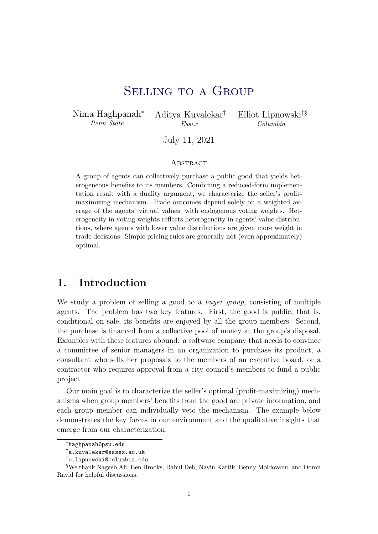# SELLING TO A GROUP

<span id="page-0-0"></span>Nima Haghpanah<sup>∗</sup> Penn State

Aditya Kuvalekar† Essex

Elliot Lipnowski‡§ Columbia

July 11, 2021

#### **ABSTRACT**

A group of agents can collectively purchase a public good that yields heterogeneous benefits to its members. Combining a reduced-form implementation result with a duality argument, we characterize the seller's profitmaximizing mechanism. Trade outcomes depend solely on a weighted average of the agents' virtual values, with endogenous voting weights. Heterogeneity in voting weights reflects heterogeneity in agents' value distributions, where agents with lower value distributions are given more weight in trade decisions. Simple pricing rules are generally not (even approximately) optimal.

## 1. Introduction

We study a problem of selling a good to a *buyer group*, consisting of multiple agents. The problem has two key features. First, the good is public, that is, conditional on sale, its benefits are enjoyed by all the group members. Second, the purchase is financed from a collective pool of money at the group's disposal. Examples with these features abound: a software company that needs to convince a committee of senior managers in an organization to purchase its product, a consultant who sells her proposals to the members of an executive board, or a contractor who requires approval from a city council's members to fund a public project.

Our main goal is to characterize the seller's optimal (profit-maximizing) mechanisms when group members' benefits from the good are private information, and each group member can individually veto the mechanism. The example below demonstrates the key forces in our environment and the qualitative insights that emerge from our characterization.

<sup>∗</sup>haghpanah@psu.edu

<sup>†</sup>a.kuvalekar@essex.ac.uk

<sup>‡</sup>e.lipnowski@columbia.edu

<sup>§</sup>We thank Nageeb Ali, Ben Brooks, Rahul Deb, Navin Kartik, Benny Moldovanu, and Doron Ravid for helpful discussions.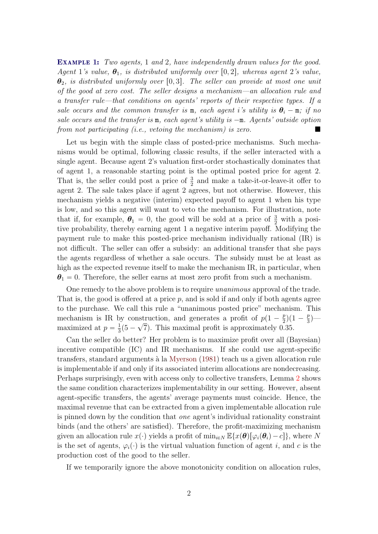<span id="page-1-0"></span>EXAMPLE 1: Two agents, 1 and 2, have independently drawn values for the good. Agent 1's value,  $\theta_1$ , is distributed uniformly over [0,2], whereas agent 2's value,  $\theta_2$ , is distributed uniformly over [0,3]. The seller can provide at most one unit of the good at zero cost. The seller designs a mechanism—an allocation rule and a transfer rule—that conditions on agents' reports of their respective types. If a sale occurs and the common transfer is  $m$ , each agent i's utility is  $\theta_i - m$ ; if no sale occurs and the transfer is  $m$ , each agent's utility is  $-m$ . Agents' outside option from not participating (i.e., vetoing the mechanism) is zero.

Let us begin with the simple class of posted-price mechanisms. Such mechanisms would be optimal, following classic results, if the seller interacted with a single agent. Because agent 2's valuation first-order stochastically dominates that of agent 1, a reasonable starting point is the optimal posted price for agent 2. That is, the seller could post a price of  $\frac{3}{2}$  and make a take-it-or-leave-it offer to agent 2. The sale takes place if agent 2 agrees, but not otherwise. However, this mechanism yields a negative (interim) expected payoff to agent 1 when his type is low, and so this agent will want to veto the mechanism. For illustration, note that if, for example,  $\theta_1 = 0$ , the good will be sold at a price of  $\frac{3}{2}$  with a positive probability, thereby earning agent 1 a negative interim payoff. Modifying the payment rule to make this posted-price mechanism individually rational (IR) is not difficult. The seller can offer a subsidy: an additional transfer that she pays the agents regardless of whether a sale occurs. The subsidy must be at least as high as the expected revenue itself to make the mechanism IR, in particular, when  $\theta_1 = 0$ . Therefore, the seller earns at most zero profit from such a mechanism.

One remedy to the above problem is to require unanimous approval of the trade. That is, the good is offered at a price  $p$ , and is sold if and only if both agents agree to the purchase. We call this rule a "unanimous posted price" mechanism. This mechanism is IR by construction, and generates a profit of  $p(1-\frac{p}{2})$  $\frac{p}{2}$  $(1 - \frac{p}{3})$ astruction, and generates a profit of  $p(1-\frac{p}{2})(1-\frac{p}{3})$  maximized at  $p = \frac{1}{3}$  $\frac{1}{3}(5-\sqrt{7})$ . This maximal profit is approximately 0.35.

Can the seller do better? Her problem is to maximize profit over all (Bayesian) incentive compatible (IC) and IR mechanisms. If she could use agent-specific transfers, standard arguments à la [Myerson](#page-27-0) [\(1981\)](#page-27-0) teach us a given allocation rule is implementable if and only if its associated interim allocations are nondecreasing. Perhaps surprisingly, even with access only to collective transfers, Lemma [2](#page-7-0) shows the same condition characterizes implementability in our setting. However, absent agent-specific transfers, the agents' average payments must coincide. Hence, the maximal revenue that can be extracted from a given implementable allocation rule is pinned down by the condition that one agent's individual rationality constraint binds (and the others' are satisfied). Therefore, the profit-maximizing mechanism given an allocation rule  $x(\cdot)$  yields a profit of  $\min_{i\in N} \mathbb{E}\{x(\theta)[\varphi_i(\theta_i)-c]\}\)$ , where N is the set of agents,  $\varphi_i(\cdot)$  is the virtual valuation function of agent i, and c is the production cost of the good to the seller.

If we temporarily ignore the above monotonicity condition on allocation rules,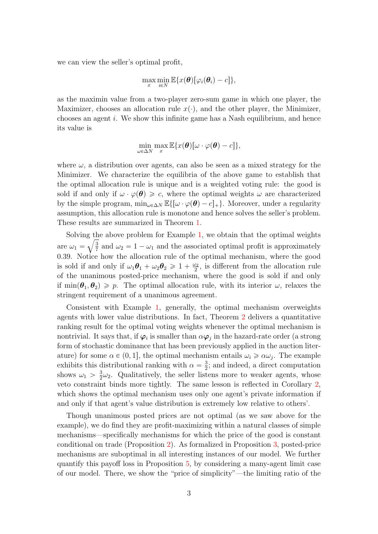we can view the seller's optimal profit,

$$
\max_x \min_{i \in N} \mathbb{E} \{x(\boldsymbol{\theta})[\varphi_i(\boldsymbol{\theta}_i)-c]\},\
$$

as the maximin value from a two-player zero-sum game in which one player, the Maximizer, chooses an allocation rule  $x(\cdot)$ , and the other player, the Minimizer, chooses an agent i. We show this infinite game has a Nash equilibrium, and hence its value is

$$
\min_{\omega \in \Delta N} \max_x \mathbb{E} \{x(\boldsymbol{\theta})[\omega \cdot \varphi(\boldsymbol{\theta}) - c]\},\
$$

where  $\omega$ , a distribution over agents, can also be seen as a mixed strategy for the Minimizer. We characterize the equilibria of the above game to establish that the optimal allocation rule is unique and is a weighted voting rule: the good is sold if and only if  $\omega \cdot \varphi(\theta) \geq c$ , where the optimal weights  $\omega$  are characterized by the simple program,  $\min_{\omega \in \Delta N} \mathbb{E}\{[\omega \cdot \varphi(\boldsymbol{\theta}) - c]_{+}\}.$  Moreover, under a regularity assumption, this allocation rule is monotone and hence solves the seller's problem. These results are summarized in Theorem [1.](#page-8-0)

Solving the above problem for Example [1,](#page-1-0) we obtain that the optimal weights are  $\omega_1 = \sqrt{\frac{3}{7}}$  $\frac{3}{7}$  and  $\omega_2 = 1 - \omega_1$  and the associated optimal profit is approximately 0.39. Notice how the allocation rule of the optimal mechanism, where the good is sold if and only if  $\omega_1 \theta_1 + \omega_2 \theta_2 \geq 1 + \frac{\omega_2}{2}$  $\frac{\partial 2}{\partial 2}$ , is different from the allocation rule of the unanimous posted-price mechanism, where the good is sold if and only if  $\min(\theta_1, \theta_2) \geq p$ . The optimal allocation rule, with its interior  $\omega$ , relaxes the stringent requirement of a unanimous agreement.

Consistent with Example [1,](#page-1-0) generally, the optimal mechanism overweights agents with lower value distributions. In fact, Theorem [2](#page-13-0) delivers a quantitative ranking result for the optimal voting weights whenever the optimal mechanism is nontrivial. It says that, if  $\varphi_i$  is smaller than  $\alpha \varphi_j$  in the hazard-rate order (a strong form of stochastic dominance that has been previously applied in the auction literature) for some  $\alpha \in (0, 1]$ , the optimal mechanism entails  $\omega_i \geq \alpha \omega_j$ . The example exhibits this distributional ranking with  $\alpha = \frac{3}{2}$  $\frac{3}{2}$ ; and indeed, a direct computation shows  $\omega_1 > \frac{3}{2}$  $\frac{3}{2}\omega_2$ . Qualitatively, the seller listens more to weaker agents, whose veto constraint binds more tightly. The same lesson is reflected in Corollary [2,](#page-11-0) which shows the optimal mechanism uses only one agent's private information if and only if that agent's value distribution is extremely low relative to others'.

Though unanimous posted prices are not optimal (as we saw above for the example), we do find they are profit-maximizing within a natural classes of simple mechanisms—specifically mechanisms for which the price of the good is constant conditional on trade (Proposition [2\)](#page-15-0). As formalized in Proposition [3,](#page-16-0) posted-price mechanisms are suboptimal in all interesting instances of our model. We further quantify this payoff loss in Proposition [5,](#page-19-0) by considering a many-agent limit case of our model. There, we show the "price of simplicity"—the limiting ratio of the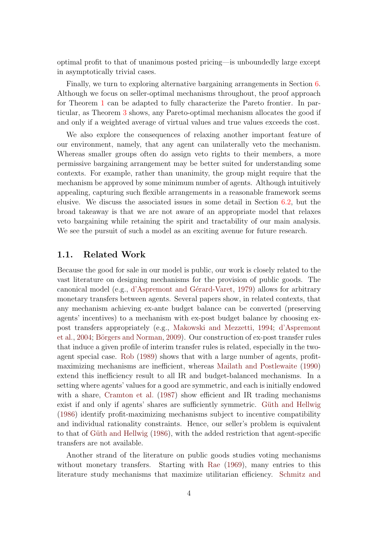optimal profit to that of unanimous posted pricing—is unboundedly large except in asymptotically trivial cases.

Finally, we turn to exploring alternative bargaining arrangements in Section [6.](#page-20-0) Although we focus on seller-optimal mechanisms throughout, the proof approach for Theorem [1](#page-8-0) can be adapted to fully characterize the Pareto frontier. In particular, as Theorem [3](#page-20-1) shows, any Pareto-optimal mechanism allocates the good if and only if a weighted average of virtual values and true values exceeds the cost.

We also explore the consequences of relaxing another important feature of our environment, namely, that any agent can unilaterally veto the mechanism. Whereas smaller groups often do assign veto rights to their members, a more permissive bargaining arrangement may be better suited for understanding some contexts. For example, rather than unanimity, the group might require that the mechanism be approved by some minimum number of agents. Although intuitively appealing, capturing such flexible arrangements in a reasonable framework seems elusive. We discuss the associated issues in some detail in Section [6.2,](#page-21-0) but the broad takeaway is that we are not aware of an appropriate model that relaxes veto bargaining while retaining the spirit and tractability of our main analysis. We see the pursuit of such a model as an exciting avenue for future research.

### 1.1. Related Work

Because the good for sale in our model is public, our work is closely related to the vast literature on designing mechanisms for the provision of public goods. The canonical model (e.g., d'Aspremont and Gérard-Varet, [1979\)](#page-26-0) allows for arbitrary monetary transfers between agents. Several papers show, in related contexts, that any mechanism achieving ex-ante budget balance can be converted (preserving agents' incentives) to a mechanism with ex-post budget balance by choosing expost transfers appropriately (e.g., [Makowski and Mezzetti,](#page-27-1) [1994;](#page-27-1) [d'Aspremont](#page-26-1) [et al.,](#page-26-1) [2004;](#page-26-1) Börgers and Norman, [2009\)](#page-26-2). Our construction of ex-post transfer rules that induce a given profile of interim transfer rules is related, especially in the twoagent special case. [Rob](#page-27-2) [\(1989\)](#page-27-2) shows that with a large number of agents, profitmaximizing mechanisms are inefficient, whereas [Mailath and Postlewaite](#page-27-3) [\(1990\)](#page-27-3) extend this inefficiency result to all IR and budget-balanced mechanisms. In a setting where agents' values for a good are symmetric, and each is initially endowed with a share, [Cramton et al.](#page-26-3) [\(1987\)](#page-26-3) show efficient and IR trading mechanisms exist if and only if agents' shares are sufficiently symmetric. Güth and Hellwig [\(1986\)](#page-26-4) identify profit-maximizing mechanisms subject to incentive compatibility and individual rationality constraints. Hence, our seller's problem is equivalent to that of Güth and Hellwig  $(1986)$ , with the added restriction that agent-specific transfers are not available.

Another strand of the literature on public goods studies voting mechanisms without monetary transfers. Starting with [Rae](#page-27-4) [\(1969\)](#page-27-4), many entries to this literature study mechanisms that maximize utilitarian efficiency. [Schmitz and](#page-27-5)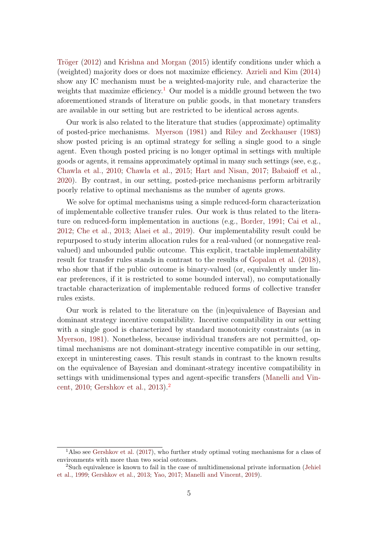Tröger  $(2012)$  and [Krishna and Morgan](#page-27-6)  $(2015)$  identify conditions under which a (weighted) majority does or does not maximize efficiency. [Azrieli and Kim](#page-26-5) [\(2014\)](#page-26-5) show any IC mechanism must be a weighted-majority rule, and characterize the weights that maximize efficiency.<sup>[1](#page-0-0)</sup> Our model is a middle ground between the two aforementioned strands of literature on public goods, in that monetary transfers are available in our setting but are restricted to be identical across agents.

Our work is also related to the literature that studies (approximate) optimality of posted-price mechanisms. [Myerson](#page-27-0) [\(1981\)](#page-27-0) and [Riley and Zeckhauser](#page-27-7) [\(1983\)](#page-27-7) show posted pricing is an optimal strategy for selling a single good to a single agent. Even though posted pricing is no longer optimal in settings with multiple goods or agents, it remains approximately optimal in many such settings (see, e.g., [Chawla et al.,](#page-26-6) [2010;](#page-26-6) [Chawla et al.,](#page-26-7) [2015;](#page-26-7) [Hart and Nisan,](#page-27-8) [2017;](#page-27-8) [Babaioff et al.,](#page-26-8) [2020\)](#page-26-8). By contrast, in our setting, posted-price mechanisms perform arbitrarily poorly relative to optimal mechanisms as the number of agents grows.

We solve for optimal mechanisms using a simple reduced-form characterization of implementable collective transfer rules. Our work is thus related to the literature on reduced-form implementation in auctions (e.g., [Border,](#page-26-9) [1991;](#page-26-9) [Cai et al.,](#page-26-10) [2012;](#page-26-10) [Che et al.,](#page-26-11) [2013;](#page-26-11) [Alaei et al.,](#page-25-0) [2019\)](#page-25-0). Our implementability result could be repurposed to study interim allocation rules for a real-valued (or nonnegative realvalued) and unbounded public outcome. This explicit, tractable implementability result for transfer rules stands in contrast to the results of [Gopalan et al.](#page-26-12) [\(2018\)](#page-26-12), who show that if the public outcome is binary-valued (or, equivalently under linear preferences, if it is restricted to some bounded interval), no computationally tractable characterization of implementable reduced forms of collective transfer rules exists.

Our work is related to the literature on the (in)equivalence of Bayesian and dominant strategy incentive compatibility. Incentive compatibility in our setting with a single good is characterized by standard monotonicity constraints (as in [Myerson,](#page-27-0) [1981\)](#page-27-0). Nonetheless, because individual transfers are not permitted, optimal mechanisms are not dominant-strategy incentive compatible in our setting, except in uninteresting cases. This result stands in contrast to the known results on the equivalence of Bayesian and dominant-strategy incentive compatibility in settings with unidimensional types and agent-specific transfers [\(Manelli and Vin](#page-27-9)[cent,](#page-27-9) [2010;](#page-27-9) [Gershkov et al.,](#page-26-13) [2013\)](#page-26-13).[2](#page-0-0)

<sup>1</sup>Also see [Gershkov et al.](#page-26-14) [\(2017\)](#page-26-14), who further study optimal voting mechanisms for a class of environments with more than two social outcomes.

<sup>2</sup>Such equivalence is known to fail in the case of multidimensional private information [\(Jehiel](#page-27-10) [et al.,](#page-27-10) [1999;](#page-27-10) [Gershkov et al.,](#page-26-13) [2013;](#page-26-13) [Yao,](#page-27-11) [2017;](#page-27-11) [Manelli and Vincent,](#page-27-12) [2019\)](#page-27-12).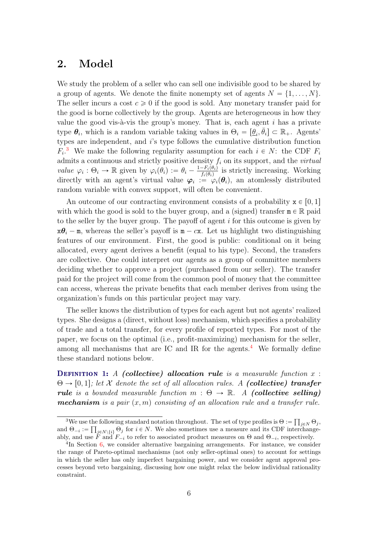## 2. Model

We study the problem of a seller who can sell one indivisible good to be shared by a group of agents. We denote the finite nonempty set of agents  $N = \{1, \ldots, N\}$ . The seller incurs a cost  $c \geq 0$  if the good is sold. Any monetary transfer paid for the good is borne collectively by the group. Agents are heterogeneous in how they value the good vis- $\grave{a}$ -vis the group's money. That is, each agent i has a private type  $\theta_i$ , which is a random variable taking values in  $\Theta_i = [\underline{\theta}_i, \overline{\theta}_i] \subset \mathbb{R}_+$ . Agents' types are independent, and i's type follows the cumulative distribution function  $F_i$ <sup>[3](#page-0-0)</sup>. We make the following regularity assumption for each  $i \in N$ : the CDF  $F_i$ admits a continuous and strictly positive density  $f_i$  on its support, and the *virtual* value  $\varphi_i : \Theta_i \to \mathbb{R}$  given by  $\varphi_i(\theta_i) := \theta_i - \frac{1-F_i(\theta_i)}{f_i(\theta_i)}$  $\frac{-F_i(\theta_i)}{f_i(\theta_i)}$  is strictly increasing. Working directly with an agent's virtual value  $\varphi_i := \varphi_i(\theta_i)$ , an atomlessly distributed random variable with convex support, will often be convenient.

An outcome of our contracting environment consists of a probability  $\mathbf{x} \in [0, 1]$ with which the good is sold to the buyer group, and a (signed) transfer  $m \in \mathbb{R}$  paid to the seller by the buyer group. The payoff of agent  $i$  for this outcome is given by  $x\theta_i$  – m, whereas the seller's payoff is m – cx. Let us highlight two distinguishing features of our environment. First, the good is public: conditional on it being allocated, every agent derives a benefit (equal to his type). Second, the transfers are collective. One could interpret our agents as a group of committee members deciding whether to approve a project (purchased from our seller). The transfer paid for the project will come from the common pool of money that the committee can access, whereas the private benefits that each member derives from using the organization's funds on this particular project may vary.

The seller knows the distribution of types for each agent but not agents' realized types. She designs a (direct, without loss) mechanism, which specifies a probability of trade and a total transfer, for every profile of reported types. For most of the paper, we focus on the optimal (i.e., profit-maximizing) mechanism for the seller, among all mechanisms that are IC and IR for the agents.<sup>[4](#page-0-0)</sup> We formally define these standard notions below.

**DEFINITION 1:** A (collective) allocation rule is a measurable function  $x$ :  $\Theta \rightarrow [0, 1]$ ; let X denote the set of all allocation rules. A (collective) transfer rule is a bounded measurable function  $m : \Theta \to \mathbb{R}$ . A (collective selling) **mechanism** is a pair  $(x, m)$  consisting of an allocation rule and a transfer rule.

<sup>&</sup>lt;sup>3</sup>We use the following standard notation throughout. The set of type profiles is  $\Theta :=$ the following standard notation throughout. The set of type profiles is  $\Theta := \prod_{j \in N} \Theta_j$ , and  $\Theta_{-i} := \prod_{j \in N \setminus \{i\}} \Theta_j$  for  $i \in N$ . We also sometimes use a measure and its CDF interchangeably, and use  $\ddot{F}$  and  $F_{-i}$  to refer to associated product measures on  $\Theta$  and  $\Theta_{-i}$ , respectively.

<sup>&</sup>lt;sup>4</sup>In Section [6,](#page-20-0) we consider alternative bargaining arrangements. For instance, we consider the range of Pareto-optimal mechanisms (not only seller-optimal ones) to account for settings in which the seller has only imperfect bargaining power, and we consider agent approval processes beyond veto bargaining, discussing how one might relax the below individual rationality constraint.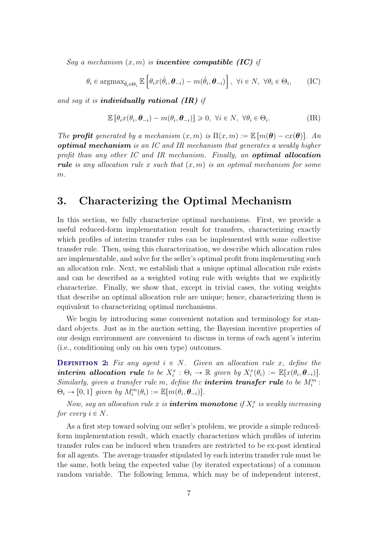Say a mechanism  $(x, m)$  is **incentive compatible (IC)** if

$$
\theta_i \in \operatorname{argmax}_{\hat{\theta}_i \in \Theta_i} \mathbb{E}\left[\theta_i x(\hat{\theta}_i, \boldsymbol{\theta}_{-i}) - m(\hat{\theta}_i, \boldsymbol{\theta}_{-i})\right], \ \forall i \in N, \ \forall \theta_i \in \Theta_i, \tag{IC}
$$

and say it is **individually rational (IR)** if

$$
\mathbb{E}\left[\theta_i x(\theta_i, \boldsymbol{\theta}_{-i}) - m(\theta_i, \boldsymbol{\theta}_{-i})\right] \geq 0, \ \forall i \in N, \ \forall \theta_i \in \Theta_i.
$$
 (IR)

The **profit** generated by a mechanism  $(x, m)$  is  $\Pi(x, m) := \mathbb{E} [m(\theta) - cx(\theta)].$  An **optimal mechanism** is an IC and IR mechanism that generates a weakly higher profit than any other IC and IR mechanism. Finally, an **optimal allocation rule** is any allocation rule x such that  $(x, m)$  is an optimal mechanism for some  $m$ .

### <span id="page-6-0"></span>3. Characterizing the Optimal Mechanism

In this section, we fully characterize optimal mechanisms. First, we provide a useful reduced-form implementation result for transfers, characterizing exactly which profiles of interim transfer rules can be implemented with some collective transfer rule. Then, using this characterization, we describe which allocation rules are implementable, and solve for the seller's optimal profit from implementing such an allocation rule. Next, we establish that a unique optimal allocation rule exists and can be described as a weighted voting rule with weights that we explicitly characterize. Finally, we show that, except in trivial cases, the voting weights that describe an optimal allocation rule are unique; hence, characterizing them is equivalent to characterizing optimal mechanisms.

We begin by introducing some convenient notation and terminology for standard objects. Just as in the auction setting, the Bayesian incentive properties of our design environment are convenient to discuss in terms of each agent's interim (i.e., conditioning only on his own type) outcomes.

**DEFINITION 2:** Fix any agent  $i \in N$ . Given an allocation rule x, define the interim allocation rule to be  $X_i^x : \Theta_i \to \mathbb{R}$  given by  $X_i^x(\theta_i) := \mathbb{E}[x(\theta_i, \theta_{-i})].$ Similarly, given a transfer rule m, define the **interim transfer rule** to be  $M_i^m$ :  $\Theta_i \to [0, 1]$  given by  $M_i^m(\theta_i) := \mathbb{E}[m(\theta_i, \theta_{-i})].$ 

Now, say an allocation rule x is **interim monotone** if  $X_i^x$  is weakly increasing for every  $i \in N$ .

As a first step toward solving our seller's problem, we provide a simple reducedform implementation result, which exactly characterizes which profiles of interim transfer rules can be induced when transfers are restricted to be ex-post identical for all agents. The average transfer stipulated by each interim transfer rule must be the same, both being the expected value (by iterated expectations) of a common random variable. The following lemma, which may be of independent interest,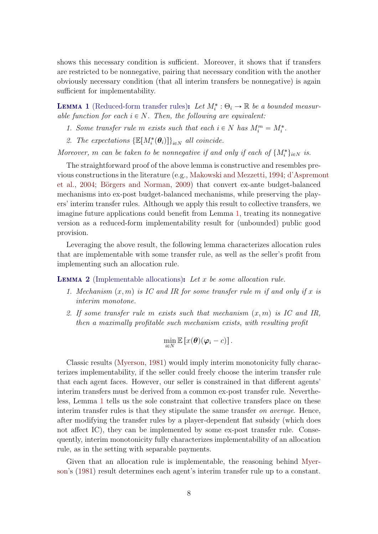shows this necessary condition is sufficient. Moreover, it shows that if transfers are restricted to be nonnegative, pairing that necessary condition with the another obviously necessary condition (that all interim transfers be nonnegative) is again sufficient for implementability.

<span id="page-7-1"></span>**LEMMA 1** (Reduced-form transfer rules): Let  $M_i^* : \Theta_i \to \mathbb{R}$  be a bounded measurable function for each  $i \in N$ . Then, the following are equivalent:

- 1. Some transfer rule m exists such that each  $i \in N$  has  $M_i^m = M_i^*$ .
- 2. The expectations  $\{\mathbb{E}[M_i^*(\theta_i)]\}_{i\in\mathbb{N}}$  all coincide.

Moreover, m can be taken to be nonnegative if and only if each of  $\{M_i^*\}_{i\in\mathbb{N}}$  is.

The straightforward proof of the above lemma is constructive and resembles previous constructions in the literature (e.g., [Makowski and Mezzetti,](#page-27-1) [1994;](#page-27-1) [d'Aspremo](#page-26-1)nt [et al.,](#page-26-1) [2004;](#page-26-1) Börgers and Norman, [2009\)](#page-26-2) that convert ex-ante budget-balanced mechanisms into ex-post budget-balanced mechanisms, while preserving the players' interim transfer rules. Although we apply this result to collective transfers, we imagine future applications could benefit from Lemma [1,](#page-7-1) treating its nonnegative version as a reduced-form implementability result for (unbounded) public good provision.

Leveraging the above result, the following lemma characterizes allocation rules that are implementable with some transfer rule, as well as the seller's profit from implementing such an allocation rule.

<span id="page-7-0"></span>**LEMMA 2** (Implementable allocations): Let  $x$  be some allocation rule.

- 1. Mechanism  $(x, m)$  is IC and IR for some transfer rule m if and only if x is interim monotone.
- 2. If some transfer rule m exists such that mechanism  $(x, m)$  is IC and IR, then a maximally profitable such mechanism exists, with resulting profit

$$
\min_{i\in N}\mathbb{E}\left[x(\boldsymbol{\theta})(\boldsymbol{\varphi}_i-c)\right].
$$

Classic results [\(Myerson,](#page-27-0) [1981\)](#page-27-0) would imply interim monotonicity fully characterizes implementability, if the seller could freely choose the interim transfer rule that each agent faces. However, our seller is constrained in that different agents' interim transfers must be derived from a common ex-post transfer rule. Nevertheless, Lemma [1](#page-7-1) tells us the sole constraint that collective transfers place on these interim transfer rules is that they stipulate the same transfer on average. Hence, after modifying the transfer rules by a player-dependent flat subsidy (which does not affect IC), they can be implemented by some ex-post transfer rule. Consequently, interim monotonicity fully characterizes implementability of an allocation rule, as in the setting with separable payments.

Given that an allocation rule is implementable, the reasoning behind [Myer](#page-27-0)[son'](#page-27-0)s [\(1981\)](#page-27-0) result determines each agent's interim transfer rule up to a constant.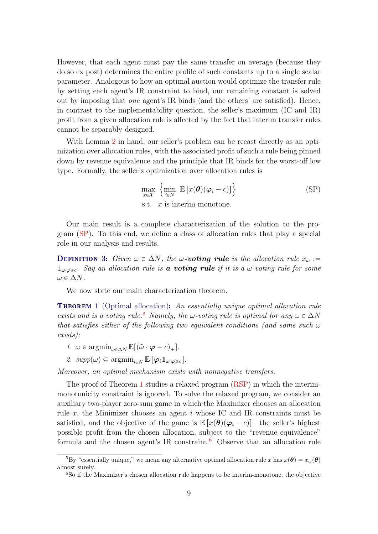However, that each agent must pay the same transfer on average (because they do so ex post) determines the entire profile of such constants up to a single scalar parameter. Analogous to how an optimal auction would optimize the transfer rule by setting each agent's IR constraint to bind, our remaining constant is solved out by imposing that one agent's IR binds (and the others' are satisfied). Hence, in contrast to the implementability question, the seller's maximum (IC and IR) profit from a given allocation rule is affected by the fact that interim transfer rules cannot be separably designed.

With Lemma [2](#page-7-0) in hand, our seller's problem can be recast directly as an optimization over allocation rules, with the associated profit of such a rule being pinned down by revenue equivalence and the principle that IR binds for the worst-off low type. Formally, the seller's optimization over allocation rules is

!<br>!

$$
\max_{x \in \mathcal{X}} \left\{ \min_{i \in N} \mathbb{E} \left[ x(\boldsymbol{\theta}) (\boldsymbol{\varphi}_i - c) \right] \right\}
$$
 (SP)  
s.t. *x* is interim monotone.

<span id="page-8-1"></span> $\mathbf{r}$ 

Our main result is a complete characterization of the solution to the program [\(SP\)](#page-8-1). To this end, we define a class of allocation rules that play a special role in our analysis and results.

**DEFINITION 3:** Given  $\omega \in \Delta N$ , the  $\omega$ -voting rule is the allocation rule  $x_{\omega}$ :=  $\mathbb{1}_{\omega \cdot \varphi \geqslant c}$ . Say an allocation rule is **a voting rule** if it is a  $\omega$ -voting rule for some  $\omega \in \Delta N$ .

We now state our main characterization theorem.

<span id="page-8-0"></span>**THEOREM 1** (Optimal allocation): An essentially unique optimal allocation rule exists and is a voting rule.<sup>[5](#page-0-0)</sup> Namely, the  $\omega$ -voting rule is optimal for any  $\omega \in \Delta N$ that satisfies either of the following two equivalent conditions (and some such  $\omega$ exists):

- 1.  $\omega \in \operatorname{argmin}_{\tilde{\omega} \in \Delta N} \mathbb{E}[(\tilde{\omega} \cdot \boldsymbol{\varphi} c)_+]$ .
- 2.  $supp(\omega) \subseteq \operatorname{argmin}_{i \in N} \mathbb{E} \left[ \varphi_i \mathbb{1}_{\omega \cdot \varphi \geq c} \right]$ .

Moreover, an optimal mechanism exists with nonnegative transfers.

The proof of Theorem [1](#page-8-0) studies a relaxed program [\(RSP\)](#page-29-0) in which the interimmonotonicity constraint is ignored. To solve the relaxed program, we consider an auxiliary two-player zero-sum game in which the Maximizer chooses an allocation rule  $x$ , the Minimizer chooses an agent  $i$  whose IC and IR constraints must be satisfied, and the objective of the game is  $\mathbb{E}[x(\theta)(\varphi_i - c)]$ —the seller's highest possible profit from the chosen allocation, subject to the "revenue equivalence" formula and the chosen agent's IR constraint.<sup>[6](#page-0-0)</sup> Observe that an allocation rule

<sup>&</sup>lt;sup>5</sup>By "essentially unique," we mean any alternative optimal allocation rule x has  $x(\theta) = x_{\omega}(\theta)$ almost surely.

<sup>6</sup>So if the Maximizer's chosen allocation rule happens to be interim-monotone, the objective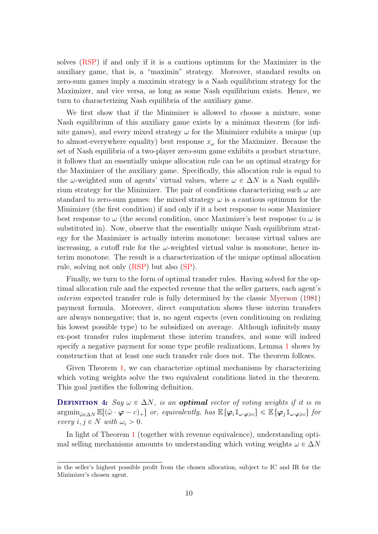solves [\(RSP\)](#page-29-0) if and only if it is a cautious optimum for the Maximizer in the auxiliary game, that is, a "maximin" strategy. Moreover, standard results on zero-sum games imply a maximin strategy is a Nash equilibrium strategy for the Maximizer, and vice versa, as long as some Nash equilibrium exists. Hence, we turn to characterizing Nash equilibria of the auxiliary game.

We first show that if the Minimizer is allowed to choose a mixture, some Nash equilibrium of this auxiliary game exists by a minimax theorem (for infinite games), and every mixed strategy  $\omega$  for the Minimizer exhibits a unique (up to almost-everywhere equality) best response  $x_{\omega}$  for the Maximizer. Because the set of Nash equilibria of a two-player zero-sum game exhibits a product structure, it follows that an essentially unique allocation rule can be an optimal strategy for the Maximizer of the auxiliary game. Specifically, this allocation rule is equal to the  $\omega$ -weighted sum of agents' virtual values, where  $\omega \in \Delta N$  is a Nash equilibrium strategy for the Minimizer. The pair of conditions characterizing such  $\omega$  are standard to zero-sum games: the mixed strategy  $\omega$  is a cautious optimum for the Minimizer (the first condition) if and only if it a best response to some Maximizer best response to  $\omega$  (the second condition, once Maximizer's best response to  $\omega$  is substituted in). Now, observe that the essentially unique Nash equilibrium strategy for the Maximizer is actually interim monotone: because virtual values are increasing, a cutoff rule for the  $\omega$ -weighted virtual value is monotone, hence interim monotone. The result is a characterization of the unique optimal allocation rule, solving not only [\(RSP\)](#page-29-0) but also [\(SP\)](#page-8-1).

Finally, we turn to the form of optimal transfer rules. Having solved for the optimal allocation rule and the expected revenue that the seller garners, each agent's interim expected transfer rule is fully determined by the classic [Myerson](#page-27-0) [\(1981\)](#page-27-0) payment formula. Moreover, direct computation shows these interim transfers are always nonnegative; that is, no agent expects (even conditioning on realizing his lowest possible type) to be subsidized on average. Although infinitely many ex-post transfer rules implement these interim transfers, and some will indeed specify a negative payment for some type profile realizations, Lemma [1](#page-7-1) shows by construction that at least one such transfer rule does not. The theorem follows.

Given Theorem [1,](#page-8-0) we can characterize optimal mechanisms by characterizing which voting weights solve the two equivalent conditions listed in the theorem. This goal justifies the following definition.

**DEFINITION 4:** Say  $\omega \in \Delta N$ , is an **optimal** vector of voting weights if it is in  $\operatorname{argmin}_{\tilde{\omega}\in\Delta N} \mathbb{E}[(\tilde{\omega}\cdot\boldsymbol{\varphi}-c)_+]$  or, equivalently, has  $\mathbb{E}[\varphi_i\mathbb{1}_{\omega\cdot\boldsymbol{\varphi}\geqslant c}]\leqslant \mathbb{E}[\varphi_j\mathbb{1}_{\omega\cdot\boldsymbol{\varphi}\geqslant c}]$  for every  $i, j \in N$  with  $\omega_i > 0$ .

In light of Theorem [1](#page-8-0) (together with revenue equivalence), understanding optimal selling mechanisms amounts to understanding which voting weights  $\omega \in \Delta N$ 

is the seller's highest possible profit from the chosen allocation, subject to IC and IR for the Minimizer's chosen agent.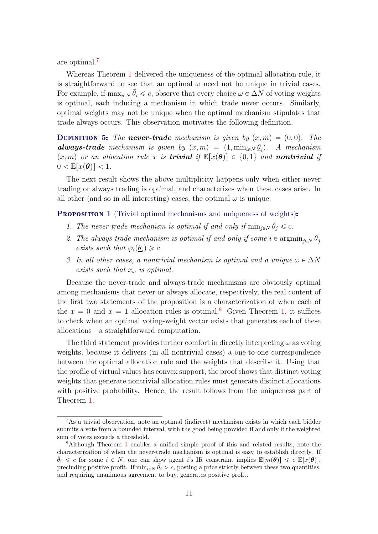are optimal.[7](#page-0-0)

Whereas Theorem [1](#page-8-0) delivered the uniqueness of the optimal allocation rule, it is straightforward to see that an optimal  $\omega$  need not be unique in trivial cases. For example, if  $\max_{i \in N} \bar{\theta}_i \leq c$ , observe that every choice  $\omega \in \Delta N$  of voting weights is optimal, each inducing a mechanism in which trade never occurs. Similarly, optimal weights may not be unique when the optimal mechanism stipulates that trade always occurs. This observation motivates the following definition.

**DEFINITION 5:** The **never-trade** mechanism is given by  $(x, m) = (0, 0)$ . The **always-trade** mechanism is given by  $(x, m) = (1, \min_{i \in N} \underline{\theta}_i)$ . A mechanism  $p(x, m)$  or an allocation rule x is **trivial** if  $E[x(\theta)] \in \{0, 1\}$  and **nontrivial** if  $0 < \mathbb{E}[x(\theta)] < 1.$ 

The next result shows the above multiplicity happens only when either never trading or always trading is optimal, and characterizes when these cases arise. In all other (and so in all interesting) cases, the optimal  $\omega$  is unique.

<span id="page-10-0"></span>**PROPOSITION 1** (Trivial optimal mechanisms and uniqueness of weights):

- 1. The never-trade mechanism is optimal if and only if  $\min_{j \in N} \bar{\theta}_j \leq c$ .
- 2. The always-trade mechanism is optimal if and only if some  $i \in \operatorname{argmin}_{j \in N} \underline{\theta}_j$ exists such that  $\varphi_i(\underline{\theta}_i) \geq c$ .
- 3. In all other cases, a nontrivial mechanism is optimal and a unique  $\omega \in \Delta N$ exists such that  $x_{\omega}$  is optimal.

Because the never-trade and always-trade mechanisms are obviously optimal among mechanisms that never or always allocate, respectively, the real content of the first two statements of the proposition is a characterization of when each of the  $x = 0$  and  $x = 1$  allocation rules is optimal.<sup>[8](#page-0-0)</sup> Given Theorem [1,](#page-8-0) it suffices to check when an optimal voting-weight vector exists that generates each of these allocations—a straightforward computation.

The third statement provides further comfort in directly interpreting  $\omega$  as voting weights, because it delivers (in all nontrivial cases) a one-to-one correspondence between the optimal allocation rule and the weights that describe it. Using that the profile of virtual values has convex support, the proof shows that distinct voting weights that generate nontrivial allocation rules must generate distinct allocations with positive probability. Hence, the result follows from the uniqueness part of Theorem [1.](#page-8-0)

<span id="page-10-1"></span><sup>7</sup>As a trivial observation, note an optimal (indirect) mechanism exists in which each bidder submits a vote from a bounded interval, with the good being provided if and only if the weighted sum of votes exceeds a threshold.

<sup>8</sup>Although Theorem [1](#page-8-0) enables a unified simple proof of this and related results, note the characterization of when the never-trade mechanism is optimal is easy to establish directly. If  $\bar{\theta}_i \leq c$  for some  $i \in N$ , one can show agent i's IR constraint implies  $\mathbb{E}[m(\theta)] \leq c \mathbb{E}[x(\theta)]$ , precluding positive profit. If  $\min_{i \in N} \bar{\theta}_i > c$ , posting a price strictly between these two quantities, and requiring unanimous agreement to buy, generates positive profit.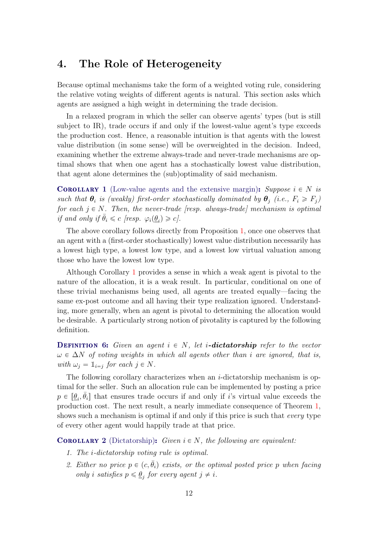## 4. The Role of Heterogeneity

Because optimal mechanisms take the form of a weighted voting rule, considering the relative voting weights of different agents is natural. This section asks which agents are assigned a high weight in determining the trade decision.

In a relaxed program in which the seller can observe agents' types (but is still subject to IR), trade occurs if and only if the lowest-value agent's type exceeds the production cost. Hence, a reasonable intuition is that agents with the lowest value distribution (in some sense) will be overweighted in the decision. Indeed, examining whether the extreme always-trade and never-trade mechanisms are optimal shows that when one agent has a stochastically lowest value distribution, that agent alone determines the (sub)optimality of said mechanism.

<span id="page-11-1"></span>**COROLLARY** 1 (Low-value agents and the extensive margin): Suppose  $i \in N$  is such that  $\theta_i$  is (weakly) first-order stochastically dominated by  $\theta_j$  (i.e.,  $F_i \geq F_j$ ) for each  $j \in N$ . Then, the never-trade [resp. always-trade] mechanism is optimal if and only if  $\bar{\theta}_i \leq c$  [resp.  $\varphi_i(\underline{\theta}_i) \geq c$ ].

The above corollary follows directly from Proposition [1,](#page-10-0) once one observes that an agent with a (first-order stochastically) lowest value distribution necessarily has a lowest high type, a lowest low type, and a lowest low virtual valuation among those who have the lowest low type.

Although Corollary [1](#page-11-1) provides a sense in which a weak agent is pivotal to the nature of the allocation, it is a weak result. In particular, conditional on one of these trivial mechanisms being used, all agents are treated equally—facing the same ex-post outcome and all having their type realization ignored. Understanding, more generally, when an agent is pivotal to determining the allocation would be desirable. A particularly strong notion of pivotality is captured by the following definition.

**DEFINITION 6:** Given an agent  $i \in N$ , let i-dictatorship refer to the vector  $\omega \in \Delta N$  of voting weights in which all agents other than i are ignored, that is, with  $\omega_j = \mathbb{1}_{i=j}$  for each  $j \in N$ .

The following corollary characterizes when an  $i$ -dictatorship mechanism is optimal for the seller. Such an allocation rule can be implemented by posting a price  $p \in [\underline{\theta}_i, \overline{\theta}_i]$  that ensures trade occurs if and only if i's virtual value exceeds the production cost. The next result, a nearly immediate consequence of Theorem [1,](#page-8-0) shows such a mechanism is optimal if and only if this price is such that *every* type of every other agent would happily trade at that price.

<span id="page-11-0"></span>**COROLLARY 2** (Dictatorship): Given  $i \in N$ , the following are equivalent:

- 1. The i-dictatorship voting rule is optimal.
- 2. Either no price  $p \in (c, \bar{\theta}_i)$  exists, or the optimal posted price p when facing only *i* satisfies  $p \leq \underline{\theta}_j$  for every agent  $j \neq i$ .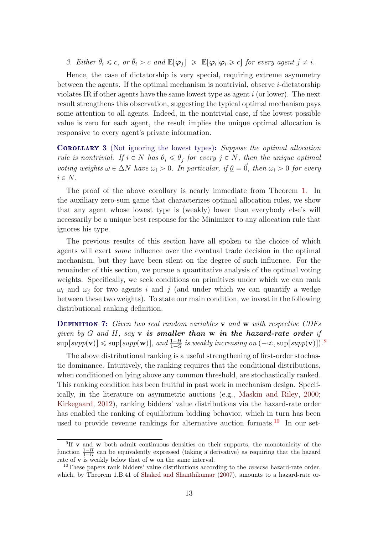3. Either  $\bar{\theta}_i \leq c$ , or  $\bar{\theta}_i > c$  and  $\mathbb{E}[\varphi_j] \geq \mathbb{E}[\varphi_i | \varphi_i \geq c]$  for every agent  $j \neq i$ .

Hence, the case of dictatorship is very special, requiring extreme asymmetry between the agents. If the optimal mechanism is nontrivial, observe  $i$ -dictatorship violates IR if other agents have the same lowest type as agent  $i$  (or lower). The next result strengthens this observation, suggesting the typical optimal mechanism pays some attention to all agents. Indeed, in the nontrivial case, if the lowest possible value is zero for each agent, the result implies the unique optimal allocation is responsive to every agent's private information.

<span id="page-12-0"></span>Corollary 3 (Not ignoring the lowest types): Suppose the optimal allocation rule is nontrivial. If  $i \in N$  has  $\theta_i \leq \theta_j$  for every  $j \in N$ , then the unique optimal voting weights  $\omega \in \Delta N$  have  $\omega_i > 0$ . In particular, if  $\underline{\theta} = \vec{0}$ , then  $\omega_i > 0$  for every  $i \in N$ .

The proof of the above corollary is nearly immediate from Theorem [1.](#page-8-0) In the auxiliary zero-sum game that characterizes optimal allocation rules, we show that any agent whose lowest type is (weakly) lower than everybody else's will necessarily be a unique best response for the Minimizer to any allocation rule that ignores his type.

The previous results of this section have all spoken to the choice of which agents will exert some influence over the eventual trade decision in the optimal mechanism, but they have been silent on the degree of such influence. For the remainder of this section, we pursue a quantitative analysis of the optimal voting weights. Specifically, we seek conditions on primitives under which we can rank  $\omega_i$  and  $\omega_j$  for two agents i and j (and under which we can quantify a wedge between these two weights). To state our main condition, we invest in the following distributional ranking definition.

**DEFINITION 7:** Given two real random variables **v** and **w** with respective CDFs given by  $G$  and  $H$ , say  $v$  is smaller than  $w$  in the hazard-rate order if  $\sup[supp(\mathbf{v})] \leqslant \sup[supp(\mathbf{w})]$ , and  $\frac{1-H}{1-G}$  is weakly increasing on  $(-\infty, \sup[supp(\mathbf{v})])$ .

The above distributional ranking is a useful strengthening of first-order stochastic dominance. Intuitively, the ranking requires that the conditional distributions, when conditioned on lying above any common threshold, are stochastically ranked. This ranking condition has been fruitful in past work in mechanism design. Specifically, in the literature on asymmetric auctions (e.g., [Maskin and Riley,](#page-27-13) [2000;](#page-27-13) [Kirkegaard,](#page-27-14) [2012\)](#page-27-14), ranking bidders' value distributions via the hazard-rate order has enabled the ranking of equilibrium bidding behavior, which in turn has been used to provide revenue rankings for alternative auction formats.<sup>[10](#page-0-0)</sup> In our set-

<sup>&</sup>lt;sup>9</sup>If **v** and **w** both admit continuous densities on their supports, the monotonicity of the function  $\frac{1-H}{1-G}$  can be equivalently expressed (taking a derivative) as requiring that the hazard rate of **v** is weakly below that of **w** on the same interval.

<sup>&</sup>lt;sup>10</sup>These papers rank bidders' value distributions according to the *reverse* hazard-rate order, which, by Theorem 1.B.41 of [Shaked and Shanthikumar](#page-27-15) [\(2007\)](#page-27-15), amounts to a hazard-rate or-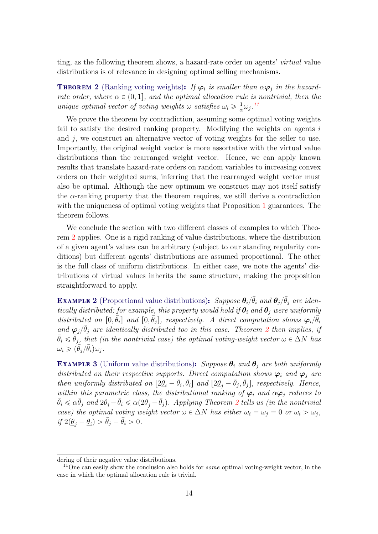ting, as the following theorem shows, a hazard-rate order on agents' virtual value distributions is of relevance in designing optimal selling mechanisms.

<span id="page-13-0"></span>**THEOREM 2** (Ranking voting weights): If  $\varphi_i$  is smaller than  $\alpha \varphi_i$  in the hazardrate order, where  $\alpha \in (0, 1]$ , and the optimal allocation rule is nontrivial, then the unique optimal vector of voting weights  $\omega$  satisfies  $\omega_i \geqslant \frac{1}{\alpha}$  $\frac{1}{\alpha}\omega_j$ .<sup>[11](#page-0-0)</sup>

We prove the theorem by contradiction, assuming some optimal voting weights fail to satisfy the desired ranking property. Modifying the weights on agents  $i$ and  $j$ , we construct an alternative vector of voting weights for the seller to use. Importantly, the original weight vector is more assortative with the virtual value distributions than the rearranged weight vector. Hence, we can apply known results that translate hazard-rate orders on random variables to increasing convex orders on their weighted sums, inferring that the rearranged weight vector must also be optimal. Although the new optimum we construct may not itself satisfy the  $\alpha$ -ranking property that the theorem requires, we still derive a contradiction with the uniqueness of optimal voting weights that Proposition [1](#page-10-0) guarantees. The theorem follows.

We conclude the section with two different classes of examples to which Theorem [2](#page-13-0) applies. One is a rigid ranking of value distributions, where the distribution of a given agent's values can be arbitrary (subject to our standing regularity conditions) but different agents' distributions are assumed proportional. The other is the full class of uniform distributions. In either case, we note the agents' distributions of virtual values inherits the same structure, making the proposition straightforward to apply.

<span id="page-13-1"></span>**EXAMPLE 2** (Proportional value distributions): Suppose  $\theta_i/\bar{\theta}_i$  and  $\theta_j/\bar{\theta}_j$  are identically distributed; for example, this property would hold if  $\theta_i$  and  $\theta_j$  were uniformly distributed on  $[0, \bar{\theta}_i]$  and  $[0, \bar{\theta}_j]$ , respectively. A direct computation shows  $\varphi_i/\bar{\theta}_i$ and  $\varphi_j/\bar{\theta}_j$  are identically distributed too in this case. Theorem [2](#page-13-0) then implies, if  $\bar{\theta}_i \leq \bar{\theta}_j$ , that (in the nontrivial case) the optimal voting-weight vector  $\omega \in \Delta N$  has  $\omega_i \geqslant (\bar{\theta}_j/\bar{\theta}_i) \omega_j.$ 

**EXAMPLE 3** (Uniform value distributions): Suppose  $\theta_i$  and  $\theta_j$  are both uniformly distributed on their respective supports. Direct computation shows  $\varphi_i$  and  $\varphi_j$  are then uniformly distributed on  $[2\underline{\theta}_i - \overline{\theta}_i, \overline{\theta}_i]$  and  $[2\underline{\theta}_j - \overline{\theta}_j, \overline{\theta}_j]$ , respectively. Hence, within this parametric class, the distributional ranking of  $\varphi_i$  and  $\alpha \varphi_j$  reduces to  $\bar{\theta}_i \leq \alpha \bar{\theta}_j$  and  $2\underline{\theta}_i - \bar{\theta}_i \leq \alpha(2\underline{\theta}_j - \bar{\theta}_j)$  $2\underline{\theta}_i - \bar{\theta}_i \leq \alpha(2\underline{\theta}_j - \bar{\theta}_j)$ . Applying Theorem 2 tells us (in the nontrivial case) the optimal voting weight vector  $\omega \in \Delta N$  has either  $\omega_i = \omega_j = 0$  or  $\omega_i > \omega_j$ , if  $2(\underline{\theta}_j - \underline{\theta}_i) > \bar{\theta}_j - \bar{\theta}_i > 0.$ 

<span id="page-13-2"></span>dering of their negative value distributions.

<sup>&</sup>lt;sup>11</sup>One can easily show the conclusion also holds for *some* optimal voting-weight vector, in the case in which the optimal allocation rule is trivial.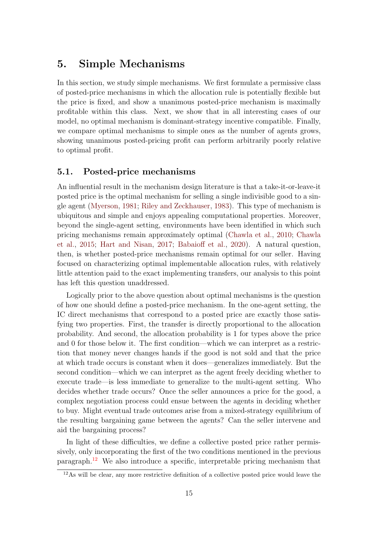## 5. Simple Mechanisms

In this section, we study simple mechanisms. We first formulate a permissive class of posted-price mechanisms in which the allocation rule is potentially flexible but the price is fixed, and show a unanimous posted-price mechanism is maximally profitable within this class. Next, we show that in all interesting cases of our model, no optimal mechanism is dominant-strategy incentive compatible. Finally, we compare optimal mechanisms to simple ones as the number of agents grows, showing unanimous posted-pricing profit can perform arbitrarily poorly relative to optimal profit.

### <span id="page-14-0"></span>5.1. Posted-price mechanisms

An influential result in the mechanism design literature is that a take-it-or-leave-it posted price is the optimal mechanism for selling a single indivisible good to a single agent [\(Myerson,](#page-27-0) [1981;](#page-27-0) [Riley and Zeckhauser,](#page-27-7) [1983\)](#page-27-7). This type of mechanism is ubiquitous and simple and enjoys appealing computational properties. Moreover, beyond the single-agent setting, environments have been identified in which such pricing mechanisms remain approximately optimal [\(Chawla et al.,](#page-26-6) [2010;](#page-26-6) [Chawla](#page-26-7) [et al.,](#page-26-7) [2015;](#page-26-7) [Hart and Nisan,](#page-27-8) [2017;](#page-27-8) [Babaioff et al.,](#page-26-8) [2020\)](#page-26-8). A natural question, then, is whether posted-price mechanisms remain optimal for our seller. Having focused on characterizing optimal implementable allocation rules, with relatively little attention paid to the exact implementing transfers, our analysis to this point has left this question unaddressed.

Logically prior to the above question about optimal mechanisms is the question of how one should define a posted-price mechanism. In the one-agent setting, the IC direct mechanisms that correspond to a posted price are exactly those satisfying two properties. First, the transfer is directly proportional to the allocation probability. And second, the allocation probability is 1 for types above the price and 0 for those below it. The first condition—which we can interpret as a restriction that money never changes hands if the good is not sold and that the price at which trade occurs is constant when it does—generalizes immediately. But the second condition—which we can interpret as the agent freely deciding whether to execute trade—is less immediate to generalize to the multi-agent setting. Who decides whether trade occurs? Once the seller announces a price for the good, a complex negotiation process could ensue between the agents in deciding whether to buy. Might eventual trade outcomes arise from a mixed-strategy equilibrium of the resulting bargaining game between the agents? Can the seller intervene and aid the bargaining process?

In light of these difficulties, we define a collective posted price rather permissively, only incorporating the first of the two conditions mentioned in the previous paragraph.[12](#page-0-0) We also introduce a specific, interpretable pricing mechanism that

<sup>&</sup>lt;sup>12</sup>As will be clear, any more restrictive definition of a collective posted price would leave the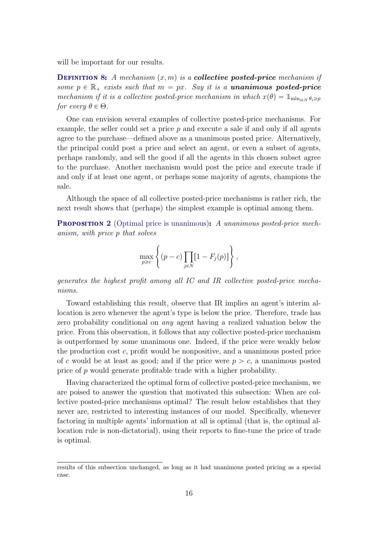will be important for our results.

**DEFINITION 8:** A mechanism  $(x, m)$  is a **collective posted-price** mechanism if some  $p \in \mathbb{R}_+$  exists such that  $m = px$ . Say it is a **unanimous posted-price** mechanism if it is a collective posted-price mechanism in which  $x(\theta) = 1_{\min_{i\in N} \theta_i \geqslant p}$ for every  $\theta \in \Theta$ .

One can envision several examples of collective posted-price mechanisms. For example, the seller could set a price  $p$  and execute a sale if and only if all agents agree to the purchase—defined above as a unanimous posted price. Alternatively, the principal could post a price and select an agent, or even a subset of agents, perhaps randomly, and sell the good if all the agents in this chosen subset agree to the purchase. Another mechanism would post the price and execute trade if and only if at least one agent, or perhaps some majority of agents, champions the sale.

Although the space of all collective posted-price mechanisms is rather rich, the next result shows that (perhaps) the simplest example is optimal among them.

<span id="page-15-0"></span>**PROPOSITION 2** (Optimal price is unanimous): A unanimous posted-price mechanism, with price p that solves

$$
\max_{p \geq c} \left\{ (p - c) \prod_{j \in N} [1 - F_j(p)] \right\},\,
$$

generates the highest profit among all IC and IR collective posted-price mechanisms.

Toward establishing this result, observe that IR implies an agent's interim allocation is zero whenever the agent's type is below the price. Therefore, trade has zero probability conditional on any agent having a realized valuation below the price. From this observation, it follows that any collective posted-price mechanism is outperformed by some unanimous one. Indeed, if the price were weakly below the production cost c, profit would be nonpositive, and a unanimous posted price of c would be at least as good; and if the price were  $p > c$ , a unanimous posted price of p would generate profitable trade with a higher probability.

Having characterized the optimal form of collective posted-price mechanism, we are poised to answer the question that motivated this subsection: When are collective posted-price mechanisms optimal? The result below establishes that they never are, restricted to interesting instances of our model. Specifically, whenever factoring in multiple agents' information at all is optimal (that is, the optimal allocation rule is non-dictatorial), using their reports to fine-tune the price of trade is optimal.

results of this subsection unchanged, as long as it had unanimous posted pricing as a special case.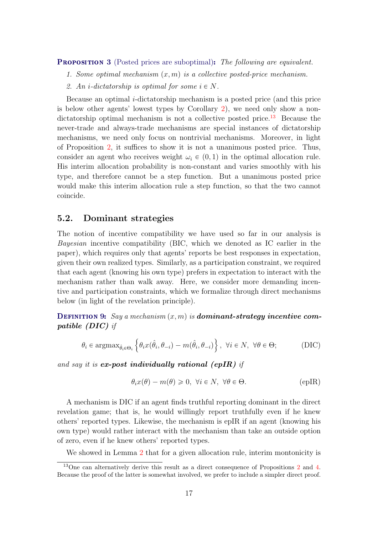<span id="page-16-0"></span>**PROPOSITION 3** (Posted prices are suboptimal): The following are equivalent.

1. Some optimal mechanism  $(x, m)$  is a collective posted-price mechanism.

2. An *i*-dictatorship is optimal for some  $i \in N$ .

Because an optimal i-dictatorship mechanism is a posted price (and this price is below other agents' lowest types by Corollary [2\)](#page-11-0), we need only show a non-dictatorship optimal mechanism is not a collective posted price.<sup>[13](#page-0-0)</sup> Because the never-trade and always-trade mechanisms are special instances of dictatorship mechanisms, we need only focus on nontrivial mechanisms. Moreover, in light of Proposition [2,](#page-15-0) it suffices to show it is not a unanimous posted price. Thus, consider an agent who receives weight  $\omega_i \in (0, 1)$  in the optimal allocation rule. His interim allocation probability is non-constant and varies smoothly with his type, and therefore cannot be a step function. But a unanimous posted price would make this interim allocation rule a step function, so that the two cannot coincide.

### <span id="page-16-1"></span>5.2. Dominant strategies

The notion of incentive compatibility we have used so far in our analysis is Bayesian incentive compatibility (BIC, which we denoted as IC earlier in the paper), which requires only that agents' reports be best responses in expectation, given their own realized types. Similarly, as a participation constraint, we required that each agent (knowing his own type) prefers in expectation to interact with the mechanism rather than walk away. Here, we consider more demanding incentive and participation constraints, which we formalize through direct mechanisms below (in light of the revelation principle).

**DEFINITION 9:** Say a mechanism  $(x, m)$  is **dominant-strategy incentive com**patible (DIC) if

$$
\theta_i \in \operatorname{argmax}_{\hat{\theta}_i \in \Theta_i} \left\{ \theta_i x(\hat{\theta}_i, \theta_{-i}) - m(\hat{\theta}_i, \theta_{-i}) \right\}, \ \forall i \in N, \ \forall \theta \in \Theta; \tag{DIC}
$$

and say it is **ex-post individually rational (epIR)** if

$$
\theta_i x(\theta) - m(\theta) \ge 0, \ \forall i \in N, \ \forall \theta \in \Theta.
$$
 (eplR)

A mechanism is DIC if an agent finds truthful reporting dominant in the direct revelation game; that is, he would willingly report truthfully even if he knew others' reported types. Likewise, the mechanism is epIR if an agent (knowing his own type) would rather interact with the mechanism than take an outside option of zero, even if he knew others' reported types.

We showed in Lemma [2](#page-7-0) that for a given allocation rule, interim montonicity is

<sup>13</sup>One can alternatively derive this result as a direct consequence of Propositions [2](#page-15-0) and [4.](#page-17-0) Because the proof of the latter is somewhat involved, we prefer to include a simpler direct proof.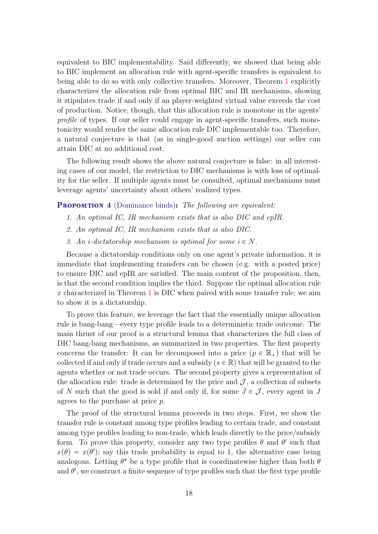equivalent to BIC implementability. Said differently, we showed that being able to BIC implement an allocation rule with agent-specific transfers is equivalent to being able to do so with only collective transfers. Moreover, Theorem [1](#page-8-0) explicitly characterizes the allocation rule from optimal BIC and IR mechanisms, showing it stipulates trade if and only if an player-weighted virtual value exceeds the cost of production. Notice, though, that this allocation rule is monotone in the agents' profile of types. If our seller could engage in agent-specific transfers, such monotonicity would render the same allocation rule DIC implementable too. Therefore, a natural conjecture is that (as in single-good auction settings) our seller can attain DIC at no additional cost.

The following result shows the above natural conjecture is false: in all interesting cases of our model, the restriction to DIC mechanisms is with loss of optimality for the seller. If multiple agents must be consulted, optimal mechanisms must leverage agents' uncertainty about others' realized types.

#### <span id="page-17-0"></span>**PROPOSITION 4** (Dominance binds): The following are equivalent:

- 1. An optimal IC, IR mechanism exists that is also DIC and epIR.
- 2. An optimal IC, IR mechanism exists that is also DIC.
- 3. An *i*-dictatorship mechanism is optimal for some  $i \in N$ .

Because a dictatorship conditions only on one agent's private information, it is immediate that implementing transfers can be chosen (e.g. with a posted price) to ensure DIC and epIR are satisfied. The main content of the proposition, then, is that the second condition implies the third. Suppose the optimal allocation rule x characterized in Theorem [1](#page-8-0) is DIC when paired with some transfer rule; we aim to show it is a dictatorship.

To prove this feature, we leverage the fact that the essentially unique allocation rule is bang-bang—every type profile leads to a deterministic trade outcome. The main thrust of our proof is a structural lemma that characterizes the full class of DIC bang-bang mechanisms, as summarized in two properties. The first property concerns the transfer: It can be decomposed into a price  $(p \in \mathbb{R}_+)$  that will be collected if and only if trade occurs and a subsidy ( $s \in \mathbb{R}$ ) that will be granted to the agents whether or not trade occurs. The second property gives a representation of the allocation rule: trade is determined by the price and  $\mathcal{J}$ , a collection of subsets of N such that the good is sold if and only if, for some  $J \in \mathcal{J}$ , every agent in J agrees to the purchase at price p.

The proof of the structural lemma proceeds in two steps. First, we show the transfer rule is constant among type profiles leading to certain trade, and constant among type profiles leading to non-trade, which leads directly to the price/subsidy form. To prove this property, consider any two type profiles  $\theta$  and  $\theta'$  such that  $x(\theta) = x(\theta')$ ; say this trade probability is equal to 1, the alternative case being analogous. Letting  $\theta^*$  be a type profile that is coordinatewise higher than both  $\theta$ and  $\theta'$ , we construct a finite sequence of type profiles such that the first type profile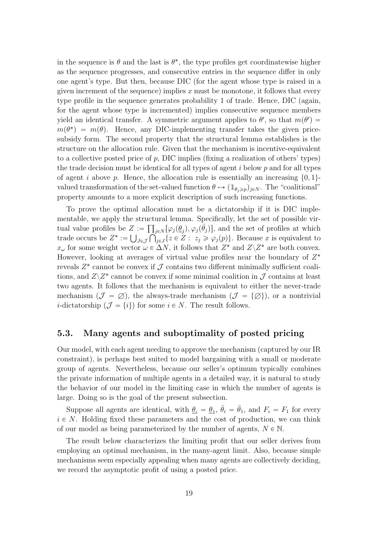in the sequence is  $\theta$  and the last is  $\theta^*$ , the type profiles get coordinatewise higher as the sequence progresses, and consecutive entries in the sequence differ in only one agent's type. But then, because DIC (for the agent whose type is raised in a given increment of the sequence) implies  $x$  must be monotone, it follows that every type profile in the sequence generates probability 1 of trade. Hence, DIC (again, for the agent whose type is incremented) implies consecutive sequence members yield an identical transfer. A symmetric argument applies to  $\theta'$ , so that  $m(\theta') =$  $m(\theta^*) = m(\theta)$ . Hence, any DIC-implementing transfer takes the given pricesubsidy form. The second property that the structural lemma establishes is the structure on the allocation rule. Given that the mechanism is incentive-equivalent to a collective posted price of  $p$ , DIC implies (fixing a realization of others' types) the trade decision must be identical for all types of agent  $i$  below  $p$  and for all types of agent i above p. Hence, the allocation rule is essentially an increasing  $\{0, 1\}$ valued transformation of the set-valued function  $\theta \mapsto (\mathbb{1}_{\theta_i \geq p})_{j \in N}$ . The "coalitional" property amounts to a more explicit description of such increasing functions.

To prove the optimal allocation must be a dictatorship if it is DIC implementable, we apply the structural lemma. Specifically, let the set of possible virtual value profiles be  $Z := \prod_{j \in N} [\varphi_j(\underline{\theta}_j), \varphi_j(\overline{\theta}_j)]$ , and the set of profiles at which trade occurs be  $Z^* := \bigcup_{J \in \mathcal{J}} \bigcap_{j \in J} \{z \in Z : z_j \geq \varphi_j(p)\}\.$  Because x is equivalent to  $x_{\omega}$  for some weight vector  $\omega \in \Delta N$ , it follows that  $Z^*$  and  $Z\backslash Z^*$  are both convex. However, looking at averages of virtual value profiles near the boundary of  $Z^*$ reveals  $Z^*$  cannot be convex if  $\mathcal J$  contains two different minimally sufficient coalitions, and  $Z\backslash Z^*$  cannot be convex if some minimal coalition in  $\mathcal J$  contains at least two agents. It follows that the mechanism is equivalent to either the never-trade mechanism  $(\mathcal{J} = \emptyset)$ , the always-trade mechanism  $(\mathcal{J} = {\emptyset})$ , or a nontrivial *i*-dictatorship  $(\mathcal{J} = \{i\})$  for some  $i \in N$ . The result follows.

### <span id="page-18-0"></span>5.3. Many agents and suboptimality of posted pricing

Our model, with each agent needing to approve the mechanism (captured by our IR constraint), is perhaps best suited to model bargaining with a small or moderate group of agents. Nevertheless, because our seller's optimum typically combines the private information of multiple agents in a detailed way, it is natural to study the behavior of our model in the limiting case in which the number of agents is large. Doing so is the goal of the present subsection.

Suppose all agents are identical, with  $\underline{\theta}_i = \underline{\theta}_1$ ,  $\overline{\theta}_i = \overline{\theta}_1$ , and  $F_i = F_1$  for every  $i \in N$ . Holding fixed these parameters and the cost of production, we can think of our model as being parameterized by the number of agents,  $N \in \mathbb{N}$ .

The result below characterizes the limiting profit that our seller derives from employing an optimal mechanism, in the many-agent limit. Also, because simple mechanisms seem especially appealing when many agents are collectively deciding, we record the asymptotic profit of using a posted price.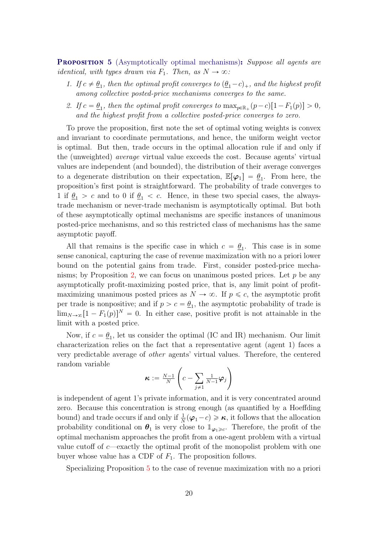<span id="page-19-0"></span>**PROPOSITION 5** (Asymptotically optimal mechanisms): Suppose all agents are *identical, with types drawn via*  $F_1$ . Then, as  $N \to \infty$ :

- 1. If  $c \neq \underline{\theta}_1$ , then the optimal profit converges to  $(\underline{\theta}_1 c)_+$ , and the highest profit among collective posted-price mechanisms converges to the same.
- 2. If  $c = \underline{\theta}_1$ , then the optimal profit converges to  $\max_{p \in \mathbb{R}_+} (p-c)[1-F_1(p)] > 0$ , and the highest profit from a collective posted-price converges to zero.

To prove the proposition, first note the set of optimal voting weights is convex and invariant to coordinate permutations, and hence, the uniform weight vector is optimal. But then, trade occurs in the optimal allocation rule if and only if the (unweighted) average virtual value exceeds the cost. Because agents' virtual values are independent (and bounded), the distribution of their average converges to a degenerate distribution on their expectation,  $\mathbb{E}[\varphi_1] = \underline{\theta}_1$ . From here, the proposition's first point is straightforward. The probability of trade converges to 1 if  $\theta_1 > c$  and to 0 if  $\theta_1 < c$ . Hence, in these two special cases, the alwaystrade mechanism or never-trade mechanism is asymptotically optimal. But both of these asymptotically optimal mechanisms are specific instances of unanimous posted-price mechanisms, and so this restricted class of mechanisms has the same asymptotic payoff.

All that remains is the specific case in which  $c = \underline{\theta}_1$ . This case is in some sense canonical, capturing the case of revenue maximization with no a priori lower bound on the potential gains from trade. First, consider posted-price mecha-nisms; by Proposition [2,](#page-15-0) we can focus on unanimous posted prices. Let  $p$  be any asymptotically profit-maximizing posted price, that is, any limit point of profitmaximizing unanimous posted prices as  $N \to \infty$ . If  $p \leq c$ , the asymptotic profit per trade is nonpositive; and if  $p > c = \underline{\theta}_1$ , the asymptotic probability of trade is  $\lim_{N\to\infty}[1-F_1(p)]^N = 0$ . In either case, positive profit is not attainable in the limit with a posted price.

Now, if  $c = \underline{\theta}_1$ , let us consider the optimal (IC and IR) mechanism. Our limit characterization relies on the fact that a representative agent (agent 1) faces a very predictable average of other agents' virtual values. Therefore, the centered random variable  $\mathcal{L}$ į,

$$
\boldsymbol{\kappa} := \frac{N-1}{N} \left( c - \sum_{j \neq 1} \frac{1}{N-1} \boldsymbol{\varphi}_j \right)
$$

is independent of agent 1's private information, and it is very concentrated around zero. Because this concentration is strong enough (as quantified by a Hoeffding bound) and trade occurs if and only if  $\frac{1}{N}(\varphi_1-c)\geq \kappa$ , it follows that the allocation probability conditional on  $\theta_1$  is very close to  $\mathbb{1}_{\varphi_1 \geq c}$ . Therefore, the profit of the optimal mechanism approaches the profit from a one-agent problem with a virtual value cutoff of  $c$ —exactly the optimal profit of the monopolist problem with one buyer whose value has a CDF of  $F_1$ . The proposition follows.

Specializing Proposition [5](#page-19-0) to the case of revenue maximization with no a priori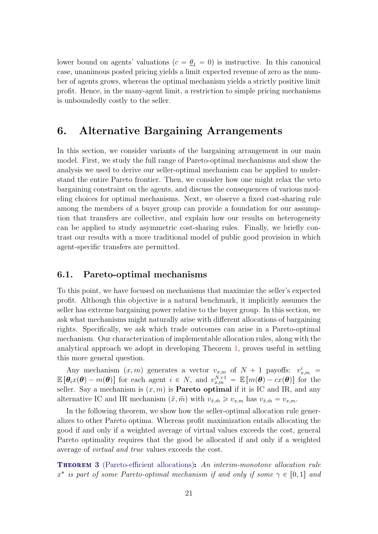lower bound on agents' valuations ( $c = \underline{\theta}_1 = 0$ ) is instructive. In this canonical case, unanimous posted pricing yields a limit expected revenue of zero as the number of agents grows, whereas the optimal mechanism yields a strictly positive limit profit. Hence, in the many-agent limit, a restriction to simple pricing mechanisms is unboundedly costly to the seller.

## <span id="page-20-0"></span>6. Alternative Bargaining Arrangements

In this section, we consider variants of the bargaining arrangement in our main model. First, we study the full range of Pareto-optimal mechanisms and show the analysis we used to derive our seller-optimal mechanism can be applied to understand the entire Pareto frontier. Then, we consider how one might relax the veto bargaining constraint on the agents, and discuss the consequences of various modeling choices for optimal mechanisms. Next, we observe a fixed cost-sharing rule among the members of a buyer group can provide a foundation for our assumption that transfers are collective, and explain how our results on heterogeneity can be applied to study asymmetric cost-sharing rules. Finally, we briefly contrast our results with a more traditional model of public good provision in which agent-specific transfers are permitted.

### 6.1. Pareto-optimal mechanisms

To this point, we have focused on mechanisms that maximize the seller's expected profit. Although this objective is a natural benchmark, it implicitly assumes the seller has extreme bargaining power relative to the buyer group. In this section, we ask what mechanisms might naturally arise with different allocations of bargaining rights. Specifically, we ask which trade outcomes can arise in a Pareto-optimal mechanism. Our characterization of implementable allocation rules, along with the analytical approach we adopt in developing Theorem [1,](#page-8-0) proves useful in settling this more general question.

Any mechanism  $(x, m)$  generates a vector  $v_{x,m}$  of  $N + 1$  payoffs:  $v_{x,m}^i =$  $\mathbb{E}[\theta_i x(\theta) - m(\theta)]$  for each agent  $i \in N$ , and  $v_{x,m}^{N+1} = \mathbb{E}[m(\theta) - cx(\theta)]$  for the seller. Say a mechanism is  $(x, m)$  is **Pareto optimal** if it is IC and IR, and any alternative IC and IR mechanism  $(\tilde{x}, \tilde{m})$  with  $v_{\tilde{x}, \tilde{m}} \geq v_{x,m}$  has  $v_{\tilde{x}, \tilde{m}} = v_{x,m}$ .

In the following theorem, we show how the seller-optimal allocation rule generalizes to other Pareto optima. Whereas profit maximization entails allocating the good if and only if a weighted average of virtual values exceeds the cost, general Pareto optimality requires that the good be allocated if and only if a weighted average of virtual and true values exceeds the cost.

<span id="page-20-1"></span>**THEOREM 3** (Pareto-efficient allocations): An interim-monotone allocation rule  $x^*$  is part of some Pareto-optimal mechanism if and only if some  $\gamma \in [0, 1]$  and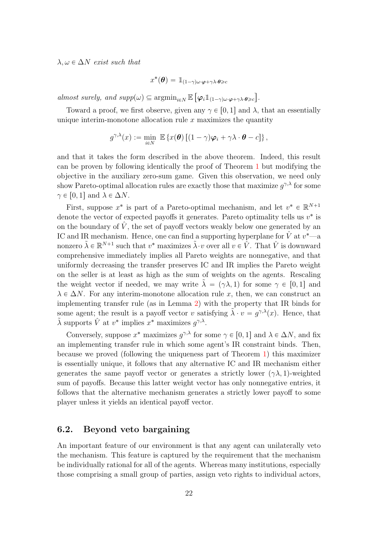$\lambda, \omega \in \Delta N$  exist such that

$$
x^*(\boldsymbol{\theta}) = \mathbb{1}_{(1-\gamma)\omega \cdot \boldsymbol{\varphi} + \gamma\lambda \cdot \boldsymbol{\theta} \geq c}
$$

almost surely, and  $supp(\omega) \subseteq \operatorname{argmin}_{i \in N} \mathbb{E}$ "  $\langle \boldsymbol{\varphi}_i \mathbb{1}_{(1-\gamma)\omega \cdot \boldsymbol{\varphi} + \gamma \lambda \cdot \boldsymbol{\theta} \geqslant c} \rangle$ ‰ .

Toward a proof, we first observe, given any  $\gamma \in [0, 1]$  and  $\lambda$ , that an essentially unique interim-monotone allocation rule  $x$  maximizes the quantity

$$
g^{\gamma,\lambda}(x) := \min_{i \in N} \mathbb{E} \left\{ x(\boldsymbol{\theta}) \left[ (1-\gamma) \boldsymbol{\varphi}_i + \gamma \lambda \cdot \boldsymbol{\theta} - c \right] \right\},\
$$

and that it takes the form described in the above theorem. Indeed, this result can be proven by following identically the proof of Theorem [1](#page-8-0) but modifying the objective in the auxiliary zero-sum game. Given this observation, we need only show Pareto-optimal allocation rules are exactly those that maximize  $g^{\gamma,\lambda}$  for some  $\gamma \in [0, 1]$  and  $\lambda \in \Delta N$ .

First, suppose  $x^*$  is part of a Pareto-optimal mechanism, and let  $v^* \in \mathbb{R}^{N+1}$ denote the vector of expected payoffs it generates. Pareto optimality tells us  $v^*$  is on the boundary of  $\hat{V}$ , the set of payoff vectors weakly below one generated by an IC and IR mechanism. Hence, one can find a supporting hyperplane for  $\hat{V}$  at  $v^*$ —a nonzero  $\tilde{\lambda} \in \mathbb{R}^{N+1}$  such that  $v^*$  maximizes  $\tilde{\lambda} \cdot v$  over all  $v \in \hat{V}$ . That  $\hat{V}$  is downward comprehensive immediately implies all Pareto weights are nonnegative, and that uniformly decreasing the transfer preserves IC and IR implies the Pareto weight on the seller is at least as high as the sum of weights on the agents. Rescaling the weight vector if needed, we may write  $\lambda = (\gamma \lambda, 1)$  for some  $\gamma \in [0, 1]$  and  $\lambda \in \Delta N$ . For any interim-monotone allocation rule x, then, we can construct an implementing transfer rule (as in Lemma [2\)](#page-7-0) with the property that IR binds for some agent; the result is a payoff vector v satisfying  $\tilde{\lambda} \cdot v = g^{\gamma,\lambda}(x)$ . Hence, that  $\tilde{\lambda}$  supports  $\hat{V}$  at  $v^*$  implies  $x^*$  maximizes  $g^{\gamma,\lambda}$ .

Conversely, suppose  $x^*$  maximizes  $g^{\gamma,\lambda}$  for some  $\gamma \in [0, 1]$  and  $\lambda \in \Delta N$ , and fix an implementing transfer rule in which some agent's IR constraint binds. Then, because we proved (following the uniqueness part of Theorem [1\)](#page-8-0) this maximizer is essentially unique, it follows that any alternative IC and IR mechanism either generates the same payoff vector or generates a strictly lower  $(\gamma \lambda, 1)$ -weighted sum of payoffs. Because this latter weight vector has only nonnegative entries, it follows that the alternative mechanism generates a strictly lower payoff to some player unless it yields an identical payoff vector.

### <span id="page-21-0"></span>6.2. Beyond veto bargaining

An important feature of our environment is that any agent can unilaterally veto the mechanism. This feature is captured by the requirement that the mechanism be individually rational for all of the agents. Whereas many institutions, especially those comprising a small group of parties, assign veto rights to individual actors,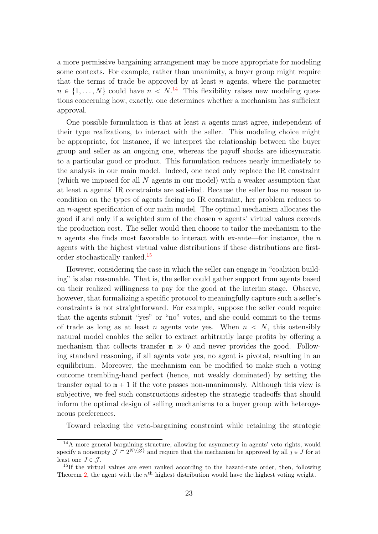a more permissive bargaining arrangement may be more appropriate for modeling some contexts. For example, rather than unanimity, a buyer group might require that the terms of trade be approved by at least  $n$  agents, where the parameter  $n \in \{1, ..., N\}$  could have  $n < N$ .<sup>[14](#page-0-0)</sup> This flexibility raises new modeling questions concerning how, exactly, one determines whether a mechanism has sufficient approval.

One possible formulation is that at least  $n$  agents must agree, independent of their type realizations, to interact with the seller. This modeling choice might be appropriate, for instance, if we interpret the relationship between the buyer group and seller as an ongoing one, whereas the payoff shocks are idiosyncratic to a particular good or product. This formulation reduces nearly immediately to the analysis in our main model. Indeed, one need only replace the IR constraint (which we imposed for all N agents in our model) with a weaker assumption that at least n agents' IR constraints are satisfied. Because the seller has no reason to condition on the types of agents facing no IR constraint, her problem reduces to an n-agent specification of our main model. The optimal mechanism allocates the good if and only if a weighted sum of the chosen  $n$  agents' virtual values exceeds the production cost. The seller would then choose to tailor the mechanism to the n agents she finds most favorable to interact with ex-ante—for instance, the  $n$ agents with the highest virtual value distributions if these distributions are firstorder stochastically ranked.[15](#page-0-0)

However, considering the case in which the seller can engage in "coalition building" is also reasonable. That is, the seller could gather support from agents based on their realized willingness to pay for the good at the interim stage. Observe, however, that formalizing a specific protocol to meaningfully capture such a seller's constraints is not straightforward. For example, suppose the seller could require that the agents submit "yes" or "no" votes, and she could commit to the terms of trade as long as at least n agents vote yes. When  $n \leq N$ , this ostensibly natural model enables the seller to extract arbitrarily large profits by offering a mechanism that collects transfer  $m \gg 0$  and never provides the good. Following standard reasoning, if all agents vote yes, no agent is pivotal, resulting in an equilibrium. Moreover, the mechanism can be modified to make such a voting outcome trembling-hand perfect (hence, not weakly dominated) by setting the transfer equal to  $m + 1$  if the vote passes non-unanimously. Although this view is subjective, we feel such constructions sidestep the strategic tradeoffs that should inform the optimal design of selling mechanisms to a buyer group with heterogeneous preferences.

Toward relaxing the veto-bargaining constraint while retaining the strategic

<sup>14</sup>A more general bargaining structure, allowing for asymmetry in agents' veto rights, would specify a nonempty  $\mathcal{J} \subseteq 2^{N \setminus \{\emptyset\}}$  and require that the mechanism be approved by all  $j \in J$  for at least one  $J \in \mathcal{J}$ .

 $^{15}$ If the virtual values are even ranked according to the hazard-rate order, then, following Theorem [2,](#page-13-0) the agent with the  $n<sup>th</sup>$  highest distribution would have the highest voting weight.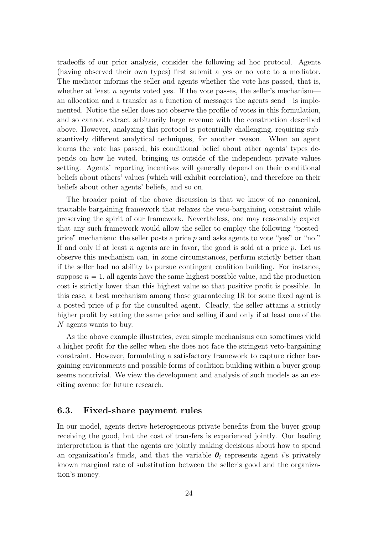tradeoffs of our prior analysis, consider the following ad hoc protocol. Agents (having observed their own types) first submit a yes or no vote to a mediator. The mediator informs the seller and agents whether the vote has passed, that is, whether at least n agents voted yes. If the vote passes, the seller's mechanisman allocation and a transfer as a function of messages the agents send—is implemented. Notice the seller does not observe the profile of votes in this formulation, and so cannot extract arbitrarily large revenue with the construction described above. However, analyzing this protocol is potentially challenging, requiring substantively different analytical techniques, for another reason. When an agent learns the vote has passed, his conditional belief about other agents' types depends on how he voted, bringing us outside of the independent private values setting. Agents' reporting incentives will generally depend on their conditional beliefs about others' values (which will exhibit correlation), and therefore on their beliefs about other agents' beliefs, and so on.

The broader point of the above discussion is that we know of no canonical, tractable bargaining framework that relaxes the veto-bargaining constraint while preserving the spirit of our framework. Nevertheless, one may reasonably expect that any such framework would allow the seller to employ the following "postedprice" mechanism: the seller posts a price p and asks agents to vote "yes" or "no." If and only if at least  $n$  agents are in favor, the good is sold at a price  $p$ . Let us observe this mechanism can, in some circumstances, perform strictly better than if the seller had no ability to pursue contingent coalition building. For instance, suppose  $n = 1$ , all agents have the same highest possible value, and the production cost is strictly lower than this highest value so that positive profit is possible. In this case, a best mechanism among those guaranteeing IR for some fixed agent is a posted price of  $p$  for the consulted agent. Clearly, the seller attains a strictly higher profit by setting the same price and selling if and only if at least one of the N agents wants to buy.

As the above example illustrates, even simple mechanisms can sometimes yield a higher profit for the seller when she does not face the stringent veto-bargaining constraint. However, formulating a satisfactory framework to capture richer bargaining environments and possible forms of coalition building within a buyer group seems nontrivial. We view the development and analysis of such models as an exciting avenue for future research.

### 6.3. Fixed-share payment rules

In our model, agents derive heterogeneous private benefits from the buyer group receiving the good, but the cost of transfers is experienced jointly. Our leading interpretation is that the agents are jointly making decisions about how to spend an organization's funds, and that the variable  $\theta_i$  represents agent i's privately known marginal rate of substitution between the seller's good and the organization's money.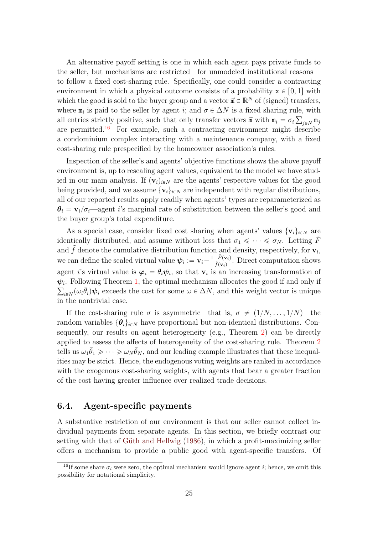An alternative payoff setting is one in which each agent pays private funds to the seller, but mechanisms are restricted—for unmodeled institutional reasons to follow a fixed cost-sharing rule. Specifically, one could consider a contracting environment in which a physical outcome consists of a probability  $x \in [0, 1]$  with which the good is sold to the buyer group and a vector  $\vec{m} \in \mathbb{R}^N$  of (signed) transfers, where  $\mathbf{m}_i$  is paid to the seller by agent *i*; and  $\sigma \in \Delta N$  is a fixed sharing rule, with all entries strictly positive, such that only transfer vectors  $\vec{m}$  with  $m_i = \sigma_i \sum_{j \in N} m_j$ are permitted.<sup>[16](#page-0-0)</sup> For example, such a contracting environment might describe a condominium complex interacting with a maintenance company, with a fixed cost-sharing rule prespecified by the homeowner association's rules.

Inspection of the seller's and agents' objective functions shows the above payoff environment is, up to rescaling agent values, equivalent to the model we have studied in our main analysis. If  $(v_i)_{i\in\mathbb{N}}$  are the agents' respective values for the good being provided, and we assume  $\{v_i\}_{i\in\mathbb{N}}$  are independent with regular distributions, all of our reported results apply readily when agents' types are reparameterized as  $\theta_i = \mathbf{v}_i/\sigma_i$  agent i's marginal rate of substitution between the seller's good and the buyer group's total expenditure.

As a special case, consider fixed cost sharing when agents' values  $\{v_i\}_{i\in\mathbb{N}}$  are identically distributed, and assume without loss that  $\sigma_1 \leq \cdots \leq \sigma_N$ . Letting  $\tilde{F}$ and  $\tilde{f}$  denote the cumulative distribution function and density, respectively, for  $\mathbf{v}_i$ , we can define the scaled virtual value  $\psi_i := \mathbf{v}_i - \frac{1-\tilde{F}(\mathbf{v}_i)}{\tilde{f}(\mathbf{v}_i)}$  $\frac{-F(\mathbf{v}_i)}{\tilde{f}(\mathbf{v}_i)}$ . Direct computation shows agent i's virtual value is  $\varphi_i = \bar{\theta}_i \psi_i$ , so that  $\mathbf{v}_i$  is an increasing transformation of  $\psi_i$ . Following Theorem [1,](#page-8-0) the optimal mechanism allocates the good if and only if  $\psi_{i\in N}(\omega_i \bar{\theta}_i)\psi_i$  exceeds the cost for some  $\omega \in \Delta N$ , and this weight vector is unique in the nontrivial case.

If the cost-sharing rule  $\sigma$  is asymmetric—that is,  $\sigma \neq (1/N, \ldots, 1/N)$ —the random variables  $\{\theta_i\}_{i\in\mathbb{N}}$  have proportional but non-identical distributions. Consequently, our results on agent heterogeneity (e.g., Theorem [2\)](#page-13-0) can be directly applied to assess the affects of heterogeneity of the cost-sharing rule. Theorem [2](#page-13-0) tells us  $\omega_1 \bar{\theta}_1 \geqslant \cdots \geqslant \omega_N \bar{\theta}_N$ , and our leading example illustrates that these inequalities may be strict. Hence, the endogenous voting weights are ranked in accordance with the exogenous cost-sharing weights, with agents that bear a greater fraction of the cost having greater influence over realized trade decisions.

### 6.4. Agent-specific payments

A substantive restriction of our environment is that our seller cannot collect individual payments from separate agents. In this section, we briefly contrast our setting with that of Güth and Hellwig [\(1986\)](#page-26-4), in which a profit-maximizing seller offers a mechanism to provide a public good with agent-specific transfers. Of

<sup>&</sup>lt;sup>16</sup>If some share  $\sigma_i$  were zero, the optimal mechanism would ignore agent i; hence, we omit this possibility for notational simplicity.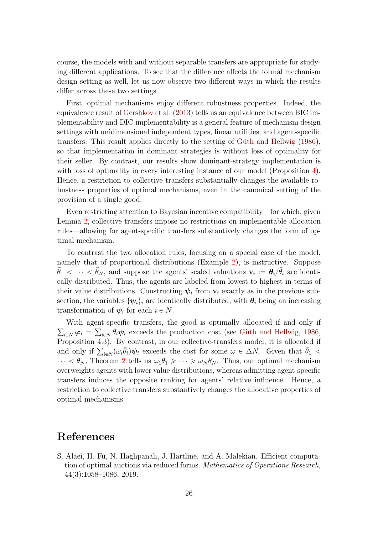course, the models with and without separable transfers are appropriate for studying different applications. To see that the difference affects the formal mechanism design setting as well, let us now observe two different ways in which the results differ across these two settings.

First, optimal mechanisms enjoy different robustness properties. Indeed, the equivalence result of [Gershkov et al.](#page-26-13) [\(2013\)](#page-26-13) tells us an equivalence between BIC implementability and DIC implementability is a general feature of mechanism design settings with unidimensional independent types, linear utilities, and agent-specific transfers. This result applies directly to the setting of Güth and Hellwig [\(1986\)](#page-26-4), so that implementation in dominant strategies is without loss of optimality for their seller. By contrast, our results show dominant-strategy implementation is with loss of optimality in every interesting instance of our model (Proposition [4\)](#page-17-0). Hence, a restriction to collective transfers substantially changes the available robustness properties of optimal mechanisms, even in the canonical setting of the provision of a single good.

Even restricting attention to Bayesian incentive compatibility—for which, given Lemma [2,](#page-7-0) collective transfers impose no restrictions on implementable allocation rules—allowing for agent-specific transfers substantively changes the form of optimal mechanism.

To contrast the two allocation rules, focusing on a special case of the model, namely that of proportional distributions (Example [2\)](#page-13-1), is instructive. Suppose  $\bar{\theta}_1 < \cdots < \bar{\theta}_N$ , and suppose the agents' scaled valuations  $\mathbf{v}_i := \theta_i / \bar{\theta}_i$  are identically distributed. Thus, the agents are labeled from lowest to highest in terms of their value distributions. Constructing  $\psi_i$  from  $v_i$  exactly as in the previous subsection, the variables  $\{\psi_i\}_i$  are identically distributed, with  $\theta_i$  being an increasing transformation of  $\psi_i$  for each  $i \in N$ .

With agent-specific transfers, the good is optimally allocated if and only if  $\varphi_i = \sum_{i \in N} \bar{\theta}_i \psi_i$  exceeds the production cost (see Güth and Hellwig, [1986,](#page-26-4) Proposition 4.3). By contrast, in our collective-transfers model, it is allocated if Proposition 4.3). By contrast, in our collective-transfers model, it is allocated if and only if  $\sum_{i \in N} (\omega_i \bar{\theta}_i) \psi_i$  exceeds the cost for some  $\omega \in \Delta N$ . Given that  $\bar{\theta}_1$  <  $\cdots < \bar{\theta}_N$ , Theorem [2](#page-13-0) tells us  $\omega_1 \bar{\theta}_1 \geqslant \cdots \geqslant \omega_N \bar{\theta}_N$ . Thus, our optimal mechanism overweights agents with lower value distributions, whereas admitting agent-specific transfers induces the opposite ranking for agents' relative influence. Hence, a restriction to collective transfers substantively changes the allocative properties of optimal mechanisms.

## References

<span id="page-25-0"></span>S. Alaei, H. Fu, N. Haghpanah, J. Hartline, and A. Malekian. Efficient computation of optimal auctions via reduced forms. Mathematics of Operations Research, 44(3):1058–1086, 2019.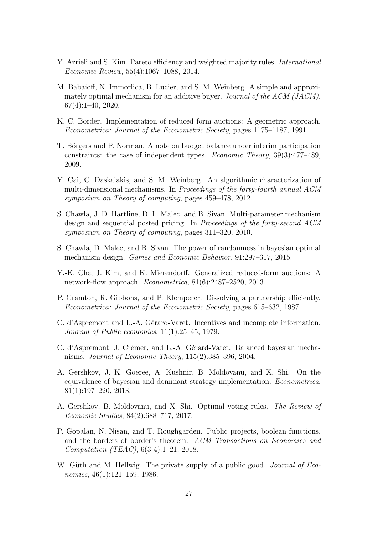- <span id="page-26-5"></span>Y. Azrieli and S. Kim. Pareto efficiency and weighted majority rules. International Economic Review, 55(4):1067–1088, 2014.
- <span id="page-26-8"></span>M. Babaioff, N. Immorlica, B. Lucier, and S. M. Weinberg. A simple and approximately optimal mechanism for an additive buyer. Journal of the ACM (JACM), 67(4):1–40, 2020.
- <span id="page-26-9"></span>K. C. Border. Implementation of reduced form auctions: A geometric approach. Econometrica: Journal of the Econometric Society, pages 1175–1187, 1991.
- <span id="page-26-2"></span>T. Börgers and P. Norman. A note on budget balance under interim participation constraints: the case of independent types. Economic Theory, 39(3):477–489, 2009.
- <span id="page-26-10"></span>Y. Cai, C. Daskalakis, and S. M. Weinberg. An algorithmic characterization of multi-dimensional mechanisms. In *Proceedings of the forty-fourth annual ACM* symposium on Theory of computing, pages 459–478, 2012.
- <span id="page-26-6"></span>S. Chawla, J. D. Hartline, D. L. Malec, and B. Sivan. Multi-parameter mechanism design and sequential posted pricing. In Proceedings of the forty-second ACM symposium on Theory of computing, pages 311–320, 2010.
- <span id="page-26-7"></span>S. Chawla, D. Malec, and B. Sivan. The power of randomness in bayesian optimal mechanism design. Games and Economic Behavior, 91:297–317, 2015.
- <span id="page-26-11"></span>Y.-K. Che, J. Kim, and K. Mierendorff. Generalized reduced-form auctions: A network-flow approach. Econometrica, 81(6):2487–2520, 2013.
- <span id="page-26-3"></span>P. Cramton, R. Gibbons, and P. Klemperer. Dissolving a partnership efficiently. Econometrica: Journal of the Econometric Society, pages 615–632, 1987.
- <span id="page-26-0"></span>C. d'Aspremont and L.-A. Gérard-Varet. Incentives and incomplete information. Journal of Public economics, 11(1):25–45, 1979.
- <span id="page-26-1"></span>C. d'Aspremont, J. Crémer, and L.-A. Gérard-Varet. Balanced bayesian mechanisms. Journal of Economic Theory, 115(2):385–396, 2004.
- <span id="page-26-13"></span>A. Gershkov, J. K. Goeree, A. Kushnir, B. Moldovanu, and X. Shi. On the equivalence of bayesian and dominant strategy implementation. Econometrica, 81(1):197–220, 2013.
- <span id="page-26-14"></span>A. Gershkov, B. Moldovanu, and X. Shi. Optimal voting rules. The Review of Economic Studies, 84(2):688–717, 2017.
- <span id="page-26-12"></span>P. Gopalan, N. Nisan, and T. Roughgarden. Public projects, boolean functions, and the borders of border's theorem. ACM Transactions on Economics and Computation (TEAC), 6(3-4):1–21, 2018.
- <span id="page-26-4"></span>W. Güth and M. Hellwig. The private supply of a public good. *Journal of Eco*nomics, 46(1):121–159, 1986.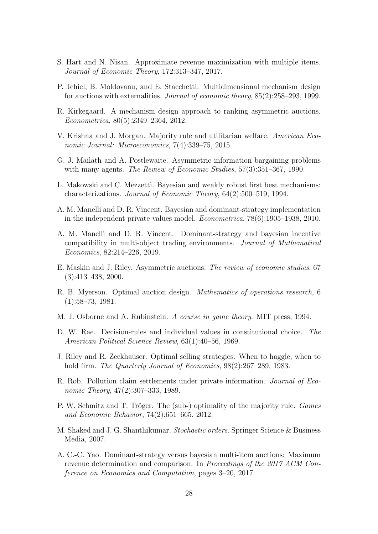- <span id="page-27-8"></span>S. Hart and N. Nisan. Approximate revenue maximization with multiple items. Journal of Economic Theory, 172:313–347, 2017.
- <span id="page-27-10"></span>P. Jehiel, B. Moldovanu, and E. Stacchetti. Multidimensional mechanism design for auctions with externalities. Journal of economic theory, 85(2):258–293, 1999.
- <span id="page-27-14"></span>R. Kirkegaard. A mechanism design approach to ranking asymmetric auctions. Econometrica, 80(5):2349–2364, 2012.
- <span id="page-27-6"></span>V. Krishna and J. Morgan. Majority rule and utilitarian welfare. American Economic Journal: Microeconomics, 7(4):339–75, 2015.
- <span id="page-27-3"></span>G. J. Mailath and A. Postlewaite. Asymmetric information bargaining problems with many agents. The Review of Economic Studies, 57(3):351-367, 1990.
- <span id="page-27-1"></span>L. Makowski and C. Mezzetti. Bayesian and weakly robust first best mechanisms: characterizations. Journal of Economic Theory, 64(2):500–519, 1994.
- <span id="page-27-9"></span>A. M. Manelli and D. R. Vincent. Bayesian and dominant-strategy implementation in the independent private-values model. Econometrica, 78(6):1905–1938, 2010.
- <span id="page-27-12"></span>A. M. Manelli and D. R. Vincent. Dominant-strategy and bayesian incentive compatibility in multi-object trading environments. Journal of Mathematical Economics, 82:214–226, 2019.
- <span id="page-27-13"></span>E. Maskin and J. Riley. Asymmetric auctions. The review of economic studies, 67 (3):413–438, 2000.
- <span id="page-27-0"></span>R. B. Myerson. Optimal auction design. Mathematics of operations research, 6 (1):58–73, 1981.
- <span id="page-27-16"></span>M. J. Osborne and A. Rubinstein. A course in game theory. MIT press, 1994.
- <span id="page-27-4"></span>D. W. Rae. Decision-rules and individual values in constitutional choice. The American Political Science Review, 63(1):40–56, 1969.
- <span id="page-27-7"></span>J. Riley and R. Zeckhauser. Optimal selling strategies: When to haggle, when to hold firm. *The Quarterly Journal of Economics*,  $98(2):267-289$ , 1983.
- <span id="page-27-2"></span>R. Rob. Pollution claim settlements under private information. Journal of Economic Theory, 47(2):307–333, 1989.
- <span id="page-27-5"></span>P. W. Schmitz and T. Tröger. The (sub-) optimality of the majority rule. Games and Economic Behavior, 74(2):651–665, 2012.
- <span id="page-27-15"></span>M. Shaked and J. G. Shanthikumar. Stochastic orders. Springer Science & Business Media, 2007.
- <span id="page-27-11"></span>A. C.-C. Yao. Dominant-strategy versus bayesian multi-item auctions: Maximum revenue determination and comparison. In Proceedings of the 2017 ACM Conference on Economics and Computation, pages 3–20, 2017.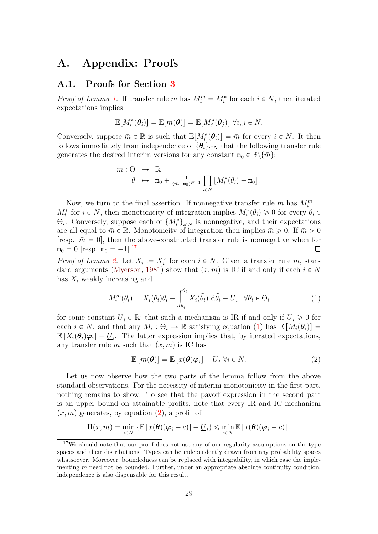## A. Appendix: Proofs

#### A.1. Proofs for Section [3](#page-6-0)

*Proof of Lemma [1.](#page-7-1)* If transfer rule m has  $M_i^m = M_i^*$  for each  $i \in N$ , then iterated expectations implies

$$
\mathbb{E}[M_i^*(\boldsymbol{\theta}_i)] = \mathbb{E}[m(\boldsymbol{\theta})] = \mathbb{E}[M_j^*(\boldsymbol{\theta}_j)] \ \forall i,j \in N.
$$

Conversely, suppose  $\bar{m} \in \mathbb{R}$  is such that  $\mathbb{E}[M_i^*(\theta_i)] = \bar{m}$  for every  $i \in N$ . It then follows immediately from independence of  $\{\boldsymbol{\theta}_i\}_{i\in\mathbb{N}}$  that the following transfer rule generates the desired interim versions for any constant  $\mathbf{m}_0 \in \mathbb{R} \setminus \{ \bar{m} \}$ :

$$
m: \Theta \rightarrow \mathbb{R}
$$
  

$$
\theta \rightarrow \mathbf{m}_0 + \frac{1}{(\bar{m}-\mathbf{m}_0)^{N-1}} \prod_{i\in N} \left[ M_i^*(\theta_i) - \mathbf{m}_0 \right].
$$

Now, we turn to the final assertion. If nonnegative transfer rule m has  $M_i^m =$  $M_i^*$  for  $i \in N$ , then monotonicity of integration implies  $M_i^*(\theta_i) \geq 0$  for every  $\theta_i \in$  $\Theta_i$ . Conversely, suppose each of  $\{M_i^*\}_{i \in N}$  is nonnegative, and their expectations are all equal to  $\bar{m} \in \mathbb{R}$ . Monotonicity of integration then implies  $\bar{m} \geq 0$ . If  $\bar{m} > 0$ [resp.  $\bar{m} = 0$ ], then the above-constructed transfer rule is nonnegative when for  $m_0 = 0$  [resp.  $m_0 = -1$ ].<sup>[17](#page-0-0)</sup>  $\Box$ 

*Proof of Lemma [2.](#page-7-0)* Let  $X_i := X_i^x$  for each  $i \in N$ . Given a transfer rule m, stan-dard arguments [\(Myerson,](#page-27-0) [1981\)](#page-27-0) show that  $(x, m)$  is IC if and only if each  $i \in N$ has  $X_i$  weakly increasing and

$$
M_i^m(\theta_i) = X_i(\theta_i)\theta_i - \int_{\underline{\theta}_i}^{\theta_i} X_i(\tilde{\theta}_i) \, d\tilde{\theta}_i - \underline{U}_i, \ \forall \theta_i \in \Theta_i
$$
 (1)

for some constant  $U_i \in \mathbb{R}$ ; that such a mechanism is IR if and only if  $U_i \geq 0$  for each  $i \in N$ ; and that any  $M_i : \Theta_i \to \mathbb{R}$  satisfying equation [\(1\)](#page-28-0) has  $\mathbb{E}[M_i(\theta_i)] =$  $\mathbb{E}\left[X_i(\theta_i)\varphi_i\right] - \underline{U}_i$ . The latter expression implies that, by iterated expectations, any transfer rule m such that  $(x, m)$  is IC has

<span id="page-28-1"></span><span id="page-28-0"></span>
$$
\mathbb{E}\left[m(\boldsymbol{\theta})\right] = \mathbb{E}\left[x(\boldsymbol{\theta})\boldsymbol{\varphi}_i\right] - \underline{U}_i \,\forall i \in N. \tag{2}
$$

Let us now observe how the two parts of the lemma follow from the above standard observations. For the necessity of interim-monotonicity in the first part, nothing remains to show. To see that the payoff expression in the second part is an upper bound on attainable profits, note that every IR and IC mechanism  $(x, m)$  generates, by equation  $(2)$ , a profit of

$$
\Pi(x,m) = \min_{i \in N} \left\{ \mathbb{E} \left[ x(\boldsymbol{\theta}) (\boldsymbol{\varphi}_i - c) \right] - \underline{U}_i \right\} \leqslant \min_{i \in N} \mathbb{E} \left[ x(\boldsymbol{\theta}) (\boldsymbol{\varphi}_i - c) \right].
$$

<sup>&</sup>lt;sup>17</sup>We should note that our proof does not use any of our regularity assumptions on the type spaces and their distributions: Types can be independently drawn from any probability spaces whatsoever. Moreover, boundedness can be replaced with integrability, in which case the implementing  $m$  need not be bounded. Further, under an appropriate absolute continuity condition, independence is also dispensable for this result.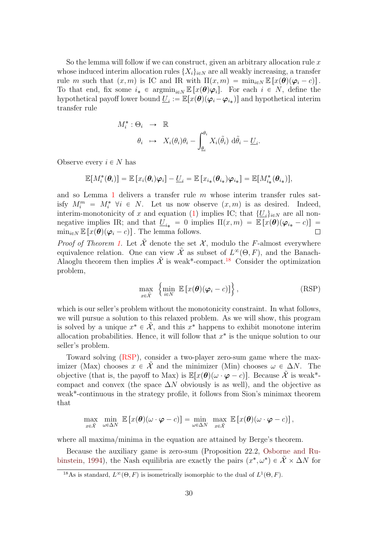So the lemma will follow if we can construct, given an arbitrary allocation rule  $x$ whose induced interim allocation rules  $\{X_i\}_{i\in\mathbb{N}}$  are all weakly increasing, a transfer rule m such that  $(x, m)$  is IC and IR with  $\Pi(x, m) = \min_{i \in N} \mathbb{E} [x(\theta)(\varphi_i - c)].$ To that end, fix some  $i_* \in \operatorname{argmin}_{i \in N} \mathbb{E} [x(\theta) \varphi_i]$ . For each  $i \in N$ , define the hypothetical payoff lower bound  $\underline{U}_i := \mathbb{E}[x(\theta)(\varphi_i - \varphi_{i_*})]$  and hypothetical interim transfer rule

$$
M_i^* : \Theta_i \rightarrow \mathbb{R}
$$
  

$$
\theta_i \rightarrow X_i(\theta_i)\theta_i - \int_{\underline{\theta}_i}^{\theta_i} X_i(\tilde{\theta}_i) d\tilde{\theta}_i - \underline{U}_i.
$$

Observe every  $i \in N$  has

$$
\mathbb{E}[M_i^*(\boldsymbol{\theta}_i)] = \mathbb{E}\left[x_i(\boldsymbol{\theta}_i)\boldsymbol{\varphi}_i\right] - \underline{U}_i = \mathbb{E}\left[x_{i_*}(\boldsymbol{\theta}_{i_*})\boldsymbol{\varphi}_{i_*}\right] = \mathbb{E}[M_{i_*}^*(\boldsymbol{\theta}_{i_*})],
$$

and so Lemma [1](#page-7-1) delivers a transfer rule  $m$  whose interim transfer rules satisfy  $M_i^m = M_i^*$   $\forall i \in N$ . Let us now observe  $(x, m)$  is as desired. Indeed, interim-monotonicity of x and equation [\(1\)](#page-28-0) implies IC; that  $\{\underline{U}_i\}_{i\in N}$  are all nonnegative implies IR; and that  $\underline{U}_{i*} = 0$  implies  $\Pi(x, m) = \mathbb{E}[x(\theta)(\varphi_{i*} - c)] = \min_{i \in \mathbb{N}} \mathbb{E}[x(\theta)(\varphi_i - c)]$ . The lemma follows.  $\min_{i \in \mathbb{N}} \mathbb{E} [x(\theta)(\varphi_i - c)].$  The lemma follows.

*Proof of Theorem [1.](#page-8-0)* Let  $\tilde{\mathcal{X}}$  denote the set  $\mathcal{X}$ , modulo the F-almost everywhere equivalence relation. One can view  $\tilde{\mathcal{X}}$  as subset of  $L^{\infty}(\Theta, F)$ , and the Banach-Alaoglu theorem then implies  $\tilde{\mathcal{X}}$  is weak<sup>\*</sup>-compact.<sup>[18](#page-0-0)</sup> Consider the optimization problem,

<span id="page-29-0"></span>
$$
\max_{x \in \tilde{\mathcal{X}}} \left\{ \min_{i \in N} \ \mathbb{E} \left[ x(\boldsymbol{\theta}) (\boldsymbol{\varphi}_i - c) \right] \right\},\tag{RSP}
$$

which is our seller's problem without the monotonicity constraint. In what follows, we will pursue a solution to this relaxed problem. As we will show, this program is solved by a unique  $x^* \in \tilde{\mathcal{X}}$ , and this  $x^*$  happens to exhibit monotone interim allocation probabilities. Hence, it will follow that  $x^*$  is the unique solution to our seller's problem.

Toward solving [\(RSP\)](#page-29-0), consider a two-player zero-sum game where the maximizer (Max) chooses  $x \in \tilde{\mathcal{X}}$  and the minimizer (Min) chooses  $\omega \in \Delta N$ . The objective (that is, the payoff to Max) is  $\mathbb{E}[x(\theta)(\omega \cdot \varphi - c)]$ . Because  $\tilde{\mathcal{X}}$  is weak<sup>\*</sup>compact and convex (the space  $\Delta N$  obviously is as well), and the objective as weak\*-continuous in the strategy profile, it follows from Sion's minimax theorem that

$$
\max_{x \in \tilde{\mathcal{X}}} \min_{\omega \in \Delta N} \mathbb{E}\left[x(\boldsymbol{\theta})(\omega \cdot \boldsymbol{\varphi} - c)\right] = \min_{\omega \in \Delta N} \max_{x \in \tilde{\mathcal{X}}} \mathbb{E}\left[x(\boldsymbol{\theta})(\omega \cdot \boldsymbol{\varphi} - c)\right],
$$

where all maxima/minima in the equation are attained by Berge's theorem.

Because the auxiliary game is zero-sum (Proposition 22.2, [Osborne and Ru](#page-27-16)[binstein,](#page-27-16) [1994\)](#page-27-16), the Nash equilibria are exactly the pairs  $(x^*, \omega^*) \in \tilde{\mathcal{X}} \times \Delta N$  for

<sup>&</sup>lt;sup>18</sup>As is standard,  $L^{\infty}(\Theta, F)$  is isometrically isomorphic to the dual of  $L^{1}(\Theta, F)$ .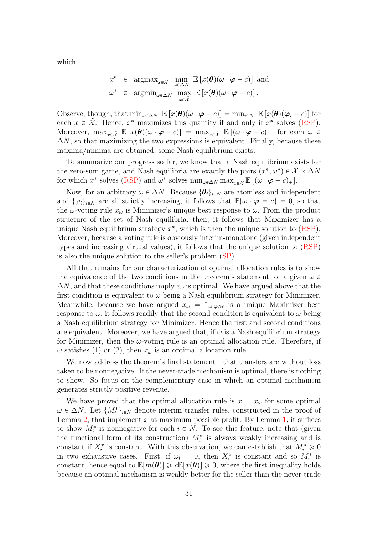which

$$
x^* \in \operatorname{argmax}_{x \in \tilde{\mathcal{X}}} \min_{\omega \in \Delta N} \mathbb{E} \left[ x(\boldsymbol{\theta}) (\omega \cdot \boldsymbol{\varphi} - c) \right] \text{ and}
$$
  

$$
\omega^* \in \operatorname{argmin}_{\omega \in \Delta N} \max_{x \in \tilde{\mathcal{X}}} \mathbb{E} \left[ x(\boldsymbol{\theta}) (\omega \cdot \boldsymbol{\varphi} - c) \right].
$$

Observe, though, that  $\min_{\omega \in \Delta N} \mathbb{E} [x(\theta)(\omega \cdot \varphi - c)] = \min_{i \in N} \mathbb{E} [x(\theta)(\varphi_i - c)]$  for each  $x \in \tilde{\mathcal{X}}$ . Hence,  $x^*$  maximizes this quantity if and only if  $x^*$  solves [\(RSP\)](#page-29-0). Moreover,  $\max_{x \in \tilde{\mathcal{X}}} \mathbb{E} [x(\theta)(\omega \cdot \varphi - c)] = \max_{x \in \tilde{\mathcal{X}}} \mathbb{E} [(\omega \cdot \varphi - c)_+]$  for each  $\omega \in$  $\Delta N$ , so that maximizing the two expressions is equivalent. Finally, because these maxima/minima are obtained, some Nash equilibrium exists.

To summarize our progress so far, we know that a Nash equilibrium exists for the zero-sum game, and Nash equilibria are exactly the pairs  $(x^*, \omega^*) \in \tilde{\mathcal{X}} \times \Delta N$ for which  $x^*$  solves [\(RSP\)](#page-29-0) and  $\omega^*$  solves  $\min_{\omega \in \Delta N} \max_{x \in \tilde{\mathcal{X}}} \mathbb{E} \left[ (\omega \cdot \boldsymbol{\varphi} - c)_+ \right]$ .

Now, for an arbitrary  $\omega \in \Delta N$ . Because  $\{\theta_i\}_{i\in N}$  are atomless and independent and  $\{\varphi_i\}_{i\in\mathbb{N}}$  are all strictly increasing, it follows that  $\mathbb{P}\{\omega\cdot\boldsymbol{\varphi}=c\}=0$ , so that the  $\omega$ -voting rule  $x_{\omega}$  is Minimizer's unique best response to  $\omega$ . From the product structure of the set of Nash equilibria, then, it follows that Maximizer has a unique Nash equilibrium strategy  $x^*$ , which is then the unique solution to  $(RSP)$ . Moreover, because a voting rule is obviously interim-monotone (given independent types and increasing virtual values), it follows that the unique solution to [\(RSP\)](#page-29-0) is also the unique solution to the seller's problem [\(SP\)](#page-8-1).

All that remains for our characterization of optimal allocation rules is to show the equivalence of the two conditions in the theorem's statement for a given  $\omega \in$  $\Delta N$ , and that these conditions imply  $x_{\omega}$  is optimal. We have argued above that the first condition is equivalent to  $\omega$  being a Nash equilibrium strategy for Minimizer. Meanwhile, because we have argued  $x_{\omega} = \mathbb{1}_{\omega \cdot \varphi \geq c}$  is a unique Maximizer best response to  $\omega$ , it follows readily that the second condition is equivalent to  $\omega$  being a Nash equilibrium strategy for Minimizer. Hence the first and second conditions are equivalent. Moreover, we have argued that, if  $\omega$  is a Nash equilibrium strategy for Minimizer, then the  $\omega$ -voting rule is an optimal allocation rule. Therefore, if  $\omega$  satisfies (1) or (2), then  $x_{\omega}$  is an optimal allocation rule.

We now address the theorem's final statement—that transfers are without loss taken to be nonnegative. If the never-trade mechanism is optimal, there is nothing to show. So focus on the complementary case in which an optimal mechanism generates strictly positive revenue.

We have proved that the optimal allocation rule is  $x = x_{\omega}$  for some optimal  $\omega \in \Delta N$ . Let  $\{M_i^*\}_{i \in N}$  denote interim transfer rules, constructed in the proof of Lemma [2,](#page-7-0) that implement x at maximum possible profit. By Lemma [1,](#page-7-1) it suffices to show  $M_i^*$  is nonnegative for each  $i \in N$ . To see this feature, note that (given the functional form of its construction)  $M_i^*$  is always weakly increasing and is constant if  $X_i^x$  is constant. With this observation, we can establish that  $M_i^* \geq 0$ in two exhaustive cases. First, if  $\omega_i = 0$ , then  $X_i^x$  is constant and so  $M_i^*$  is constant, hence equal to  $\mathbb{E}[m(\theta)|\geq c\mathbb{E}[x(\theta)]\geq 0$ , where the first inequality holds because an optimal mechanism is weakly better for the seller than the never-trade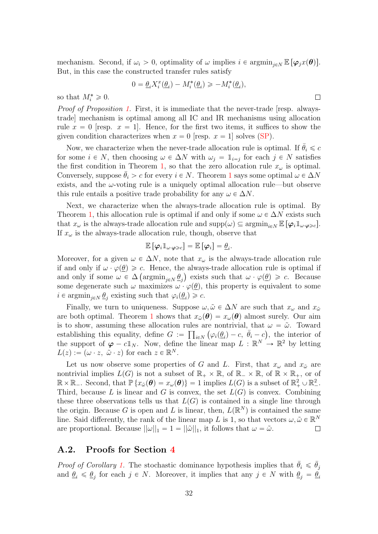mechanism. Second, if  $\omega_i > 0$ , optimality of  $\omega$  implies  $i \in \operatorname{argmin}_{i \in N} \mathbb{E} [\varphi_i x(\theta)]$ . But, in this case the constructed transfer rules satisfy

$$
0 = \underline{\theta}_i X_i^x(\underline{\theta}_i) - M_i^*(\underline{\theta}_i) \geq -M_i^*(\underline{\theta}_i),
$$

 $\Box$ 

so that  $M_i^* \geqslant 0$ .

Proof of Proposition [1.](#page-10-0) First, it is immediate that the never-trade [resp. alwaystrade] mechanism is optimal among all IC and IR mechanisms using allocation rule  $x = 0$  [resp.  $x = 1$ ]. Hence, for the first two items, it suffices to show the given condition characterizes when  $x = 0$  [resp.  $x = 1$ ] solves [\(SP\)](#page-8-1).

Now, we characterize when the never-trade allocation rule is optimal. If  $\theta_i \leq c$ for some  $i \in N$ , then choosing  $\omega \in \Delta N$  with  $\omega_j = \mathbb{1}_{i=j}$  for each  $j \in N$  satisfies the first condition in Theorem [1,](#page-8-0) so that the zero allocation rule  $x_{\omega}$  is optimal. Conversely, suppose  $\theta_i > c$  for every  $i \in N$ . Theorem [1](#page-8-0) says some optimal  $\omega \in \Delta N$ exists, and the  $\omega$ -voting rule is a uniquely optimal allocation rule—but observe this rule entails a positive trade probability for any  $\omega \in \Delta N$ .

Next, we characterize when the always-trade allocation rule is optimal. By Theorem [1,](#page-8-0) this allocation rule is optimal if and only if some  $\omega \in \Delta N$  exists such that  $x_{\omega}$  is the always-trade allocation rule and  $\text{supp}(\omega) \subseteq \text{argmin}_{i \in N} \mathbb{E} [\varphi_i \mathbb{1}_{\omega \cdot \varphi \geq c}]$ . If  $x_{\omega}$  is the always-trade allocation rule, though, observe that

$$
\mathbb{E}\left[\boldsymbol{\varphi}_i \mathbb{1}_{\omega \cdot \boldsymbol{\varphi} \geqslant c}\right] = \mathbb{E}\left[\boldsymbol{\varphi}_i\right] = \underline{\theta}_i.
$$

Moreover, for a given  $\omega \in \Delta N$ , note that  $x_{\omega}$  is the always-trade allocation rule if and only if  $\omega \cdot \varphi(\underline{\theta}) \geq c$ . Hence, the always-trade allocation rule is optimal if and only if some  $\omega \in \Delta \left( \operatorname{argmin}_{j \in N} \underline{\theta}_j \right)$  exists such that  $\omega \cdot \varphi(\underline{\theta}) \geqslant c$ . Because some degenerate such  $\omega$  maximizes  $\omega \cdot \varphi(\underline{\theta})$ , this property is equivalent to some  $i \in \operatorname{argmin}_{j \in \mathbb{N}} \underline{\theta}_j$  existing such that  $\varphi_i(\underline{\theta}_i) \geq c$ .

Finally, we turn to uniqueness. Suppose  $\omega, \tilde{\omega} \in \Delta N$  are such that  $x_{\omega}$  and  $x_{\tilde{\omega}}$ are both optimal. Theorem [1](#page-8-0) shows that  $x_{\tilde{\omega}}(\theta) = x_{\omega}(\theta)$  almost surely. Our aim is to show, assuming these allocation rules are nontrivial, that  $\omega = \tilde{\omega}$ . Toward establishing this equality, define  $G := \prod_{i \in N} (\varphi_i(\underline{\theta}_i) - c, \overline{\theta}_i - c)$ , the interior of the support of  $\varphi - c \mathbb{1}_N$ . Now, define the linear map  $L : \mathbb{R}^N \to \mathbb{R}^2$  by letting  $L(z) := (\omega \cdot z, \ \tilde{\omega} \cdot z)$  for each  $z \in \mathbb{R}^N$ .

Let us now observe some properties of G and L. First, that  $x_{\omega}$  and  $x_{\tilde{\omega}}$  are nontrivial implies  $L(G)$  is not a subset of  $\mathbb{R}_+ \times \mathbb{R}$ , of  $\mathbb{R}_- \times \mathbb{R}$ , of  $\mathbb{R} \times \mathbb{R}_+$ , or of  $\mathbb{R} \times \mathbb{R}_-$ . Second, that  $\mathbb{P} \{x_{\tilde{\omega}}(\theta) = x_{\omega}(\theta)\} = 1$  implies  $L(G)$  is a subset of  $\mathbb{R}_+^2 \cup \mathbb{R}_-^2$ . Third, because L is linear and G is convex, the set  $L(G)$  is convex. Combining these three observations tells us that  $L(G)$  is contained in a single line through the origin. Because G is open and L is linear, then,  $L(\mathbb{R}^N)$  is contained the same line. Said differently, the rank of the linear map L is 1, so that vectors  $\omega, \tilde{\omega} \in \mathbb{R}^N$ are proportional. Because  $||\omega||_1 = 1 = ||\tilde{\omega}||_1$ , it follows that  $\omega = \tilde{\omega}$ .  $\Box$ 

#### A.2. Proofs for Section [4](#page-10-1)

*Proof of Corollary [1.](#page-11-1)* The stochastic dominance hypothesis implies that  $\bar{\theta}_i \leq \bar{\theta}_j$ and  $\theta_i \leq \theta_j$  for each  $j \in N$ . Moreover, it implies that any  $j \in N$  with  $\theta_j = \theta_i$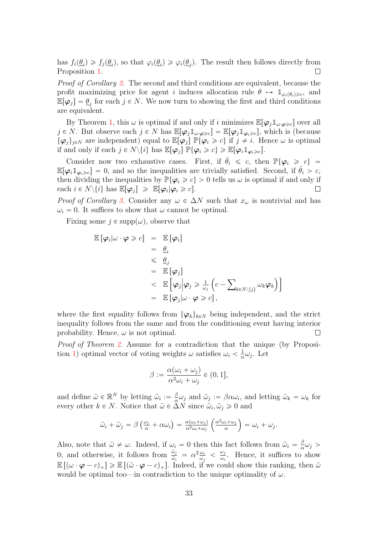has  $f_i(\underline{\theta}_i) \geq f_j(\underline{\theta}_i)$ , so that  $\varphi_i(\underline{\theta}_i) \geq \varphi_i(\underline{\theta}_j)$ . The result then follows directly from Proposition [1.](#page-10-0)  $\Box$ 

Proof of Corollary [2.](#page-11-0) The second and third conditions are equivalent, because the profit maximizing price for agent i induces allocation rule  $\theta \mapsto \mathbb{1}_{\varphi_i(\theta_i)\geq c}$ , and  $\mathbb{E}[\varphi_j] = \underline{\theta}_j$  for each  $j \in N$ . We now turn to showing the first and third conditions are equivalent.

By Theorem [1,](#page-8-0) this  $\omega$  is optimal if and only if i minimizes  $\mathbb{E}[\varphi_j \mathbb{1}_{\omega \cdot \varphi \geq c}]$  over all  $j \in N$ . But observe each  $j \in N$  has  $\mathbb{E}[\varphi_j \mathbb{1}_{\omega \cdot \varphi \geq c}] = \mathbb{E}[\varphi_j \mathbb{1}_{\varphi_i \geq c}]$ , which is (because  $\{\varphi_j\}_{j\in\mathbb{N}}$  are independent) equal to  $\mathbb{E}[\varphi_j] \mathbb{P}\{\varphi_i \geq c\}$  if  $j \neq i$ . Hence  $\omega$  is optimal if and only if each  $j \in N \setminus \{i\}$  has  $\mathbb{E}[\varphi_i] \mathbb{P} \{\varphi_i \geq c\} \geq \mathbb{E}[\varphi_i \mathbb{1}_{\varphi_i \geq c}]$ .

Consider now two exhaustive cases. First, if  $\bar{\theta}_i \leq c$ , then  $\mathbb{P}\{\varphi_i \geq c\}$  =  $\mathbb{E}[\varphi_i \mathbb{1}_{\varphi_i \geq c}] = 0$ , and so the inequalities are trivially satisfied. Second, if  $\bar{\theta}_i > c$ , then dividing the inequalities by  $\mathbb{P}\{\varphi_i \geq c\} > 0$  tells us  $\omega$  is optimal if and only if each  $i \in N \setminus \{i\}$  has  $\mathbb{E}[\varphi_j] \geq \mathbb{E}[\varphi_i | \varphi_i \geq c]$ .  $\Box$ 

*Proof of Corollary [3.](#page-12-0)* Consider any  $\omega \in \Delta N$  such that  $x_{\omega}$  is nontrivial and has  $\omega_i = 0$ . It suffices to show that  $\omega$  cannot be optimal.

Fixing some  $j \in \text{supp}(\omega)$ , observe that

$$
\mathbb{E}[\varphi_i | \omega \cdot \varphi \geq c] = \mathbb{E}[\varphi_i]
$$
  
\n
$$
= \frac{\theta_i}{\xi}
$$
  
\n
$$
\leq \frac{\theta_j}{\xi}
$$
  
\n
$$
\leq \mathbb{E}[\varphi_j]
$$
  
\n
$$
\leq \mathbb{E}[\varphi_j | \varphi_j \geq \frac{1}{\omega_j} (c - \sum_{k \in N \setminus \{j\}} \omega_k \varphi_k)]
$$
  
\n
$$
= \mathbb{E}[\varphi_j | \omega \cdot \varphi \geq c],
$$

where the first equality follows from  $\{\varphi_k\}_{k\in\mathbb{N}}$  being independent, and the strict inequality follows from the same and from the conditioning event having interior probability. Hence,  $\omega$  is not optimal.  $\Box$ 

Proof of Theorem [2.](#page-13-0) Assume for a contradiction that the unique (by Proposi-tion [1\)](#page-10-0) optimal vector of voting weights  $\omega$  satisfies  $\omega_i < \frac{1}{\alpha}$  $\frac{1}{\alpha}\omega_j$ . Let

$$
\beta := \frac{\alpha(\omega_i + \omega_j)}{\alpha^2 \omega_i + \omega_j} \in (0, 1],
$$

and define  $\tilde{\omega} \in \mathbb{R}^N$  by letting  $\tilde{\omega}_i := \frac{\beta}{\alpha}$  $\frac{\beta}{\alpha}\omega_j$  and  $\tilde{\omega}_j := \beta \alpha \omega_i$ , and letting  $\tilde{\omega}_k = \omega_k$  for every other  $k \in N$ . Notice that  $\tilde{\omega} \in \Delta N$  since  $\tilde{\omega}_i, \tilde{\omega}_j \geq 0$  and

$$
\tilde{\omega}_i + \tilde{\omega}_j = \beta \left( \frac{\omega_j}{\alpha} + \alpha \omega_i \right) = \frac{\alpha(\omega_i + \omega_j)}{\alpha^2 \omega_i + \omega_j} \left( \frac{\alpha^2 \omega_i + \omega_j}{\alpha} \right) = \omega_i + \omega_j.
$$

Also, note that  $\tilde{\omega} \neq \omega$ . Indeed, if  $\omega_i = 0$  then this fact follows from  $\tilde{\omega}_i = \frac{\beta}{\alpha}$  $\frac{\beta}{\alpha}\omega_j >$ 0; and otherwise, it follows from  $\frac{\tilde{\omega}_j}{\tilde{\omega}_i} = \alpha^2 \frac{\omega_i}{\omega_j}$  $\frac{\omega_i}{\omega_j} < \frac{\omega_j}{\omega_i}$  $\frac{\omega_j}{\omega_i}$ . Hence, it suffices to show  $\mathbb{E} \left[ (\omega \cdot \boldsymbol{\varphi} - c)_+ \right] \geqslant \mathbb{E} \left[ (\tilde{\omega} \cdot \boldsymbol{\varphi} - c)_+ \right]$ . Indeed, if we could show this ranking, then  $\tilde{\omega}$ would be optimal too—in contradiction to the unique optimality of  $\omega$ .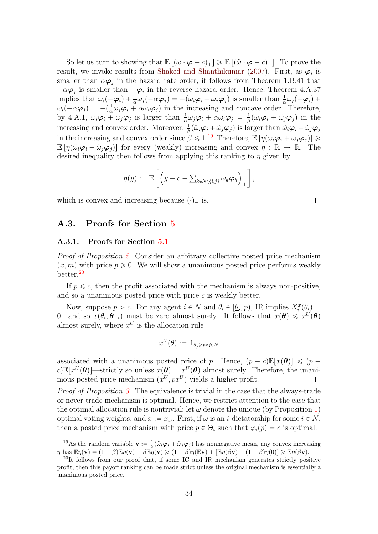So let us turn to showing that  $\mathbb{E}[(\omega \cdot \boldsymbol{\varphi} - c)_+] \geq \mathbb{E}[(\tilde{\omega} \cdot \boldsymbol{\varphi} - c)_+]$ . To prove the result, we invoke results from [Shaked and Shanthikumar](#page-27-15) [\(2007\)](#page-27-15). First, as  $\varphi_i$  is smaller than  $\alpha \varphi_j$  in the hazard rate order, it follows from Theorem 1.B.41 that  $-\alpha\varphi_j$  is smaller than  $-\varphi_i$  in the reverse hazard order. Hence, Theorem 4.A.37 implies that  $\omega_i(-\varphi_i) + \frac{1}{\alpha}\omega_j(-\alpha\varphi_j) = -(\omega_i\varphi_i + \omega_j\varphi_j)$  is smaller than  $\frac{1}{\alpha}\omega_j(-\varphi_i) +$  $\omega_i(-\alpha\varphi_j) = -(\frac{1}{\alpha}\omega_j\varphi_i + \alpha\omega_i\varphi_j)$  in the increasing and concave order. Therefore, by 4.A.1,  $\omega_i \varphi_i + \omega_j \varphi_j$  is larger than  $\frac{1}{\alpha} \omega_j \varphi_i + \alpha \omega_i \varphi_j = \frac{1}{\beta}$  $\frac{1}{\beta}(\tilde{\omega}_i \boldsymbol{\varphi}_i + \tilde{\omega}_j \boldsymbol{\varphi}_j)$  in the increasing and convex order. Moreover,  $\frac{1}{\beta}(\tilde{\omega}_i\varphi_i+\tilde{\omega}_j\varphi_j)$  is larger than  $\tilde{\omega}_i\varphi_i+\tilde{\omega}_j\varphi_j$ in the increasing and convex order since  $\beta \leq 1$ .<sup>[19](#page-0-0)</sup> Therefore,  $\mathbb{E} [\eta(\omega_i \varphi_i + \omega_j \varphi_j)] \geq$  $\mathbb{E} \left[ \eta(\tilde{\omega}_i \varphi_i + \tilde{\omega}_i \varphi_j) \right]$  for every (weakly) increasing and convex  $\eta : \mathbb{R} \to \mathbb{R}$ . The desired inequality then follows from applying this ranking to  $\eta$  given by

$$
\eta(y) := \mathbb{E}\left[\left(y - c + \sum_{k \in N \setminus \{i,j\}} \omega_k \varphi_k\right)_+\right],
$$

which is convex and increasing because  $(\cdot)_+$  is.

#### A.3. Proofs for Section [5](#page-13-2)

#### A.3.1. Proofs for Section [5.1](#page-14-0)

*Proof of Proposition [2.](#page-15-0)* Consider an arbitrary collective posted price mechanism  $(x, m)$  with price  $p \ge 0$ . We will show a unanimous posted price performs weakly better.[20](#page-0-0)

If  $p \leq c$ , then the profit associated with the mechanism is always non-positive, and so a unanimous posted price with price  $c$  is weakly better.

Now, suppose  $p > c$ . For any agent  $i \in N$  and  $\theta_i \in [\underline{\theta}_i, p)$ , IR implies  $X_i^x(\theta_i) =$ 0—and so  $x(\theta_i, \theta_{-i})$  must be zero almost surely. It follows that  $x(\theta) \leq x^{U}(\theta)$ almost surely, where  $x^U$  is the allocation rule

$$
x^U(\theta) := \mathbb{1}_{\theta_j \geqslant p \forall j \in N}
$$

associated with a unanimous posted price of p. Hence,  $(p-c)\mathbb{E}[x(\theta)] \leq (p-c)^n$ c) $\mathbb{E}[x^U(\theta)]$ —strictly so unless  $x(\theta) = x^U(\theta)$  almost surely. Therefore, the unanimous posted price mechanism  $(x^U, px^U)$  yields a higher profit.  $\Box$ 

Proof of Proposition [3.](#page-16-0) The equivalence is trivial in the case that the always-trade or never-trade mechanism is optimal. Hence, we restrict attention to the case that the optimal allocation rule is nontrivial; let  $\omega$  denote the unique (by Proposition [1\)](#page-10-0) optimal voting weights, and  $x := x_{\omega}$ . First, if  $\omega$  is an *i*-dictatorship for some  $i \in N$ , then a posted price mechanism with price  $p \in \Theta_i$  such that  $\varphi_i(p) = c$  is optimal.

 $\Box$ 

<sup>&</sup>lt;sup>19</sup>As the random variable  $\mathbf{v} := \frac{1}{\beta}(\tilde{\omega}_i \varphi_i + \tilde{\omega}_j \varphi_j)$  has nonnegative mean, any convex increasing  $\eta$  has  $\mathbb{E}\eta(\mathbf{v}) = (1 - \beta)\mathbb{E}\eta(\mathbf{v}) + \beta\mathbb{E}\eta(\mathbf{v}) \geq (1 - \beta)\eta(\mathbb{E}\mathbf{v}) + [\mathbb{E}\eta(\beta\mathbf{v}) - (1 - \beta)\eta(0)] \geq \mathbb{E}\eta(\beta\mathbf{v}).$ 

 $^{20}$ It follows from our proof that, if some IC and IR mechanism generates strictly positive profit, then this payoff ranking can be made strict unless the original mechanism is essentially a unanimous posted price.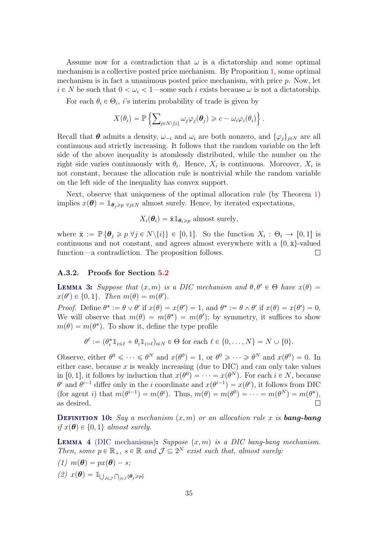Assume now for a contradiction that  $\omega$  is a dictatorship and some optimal mechanism is a collective posted price mechanism. By Proposition [1,](#page-10-0) some optimal mechanism is in fact a unanimous posted price mechanism, with price  $p$ . Now, let  $i \in N$  be such that  $0 < \omega_i < 1$ —some such i exists because  $\omega$  is not a dictatorship.

For each  $\theta_i \in \Theta_i$ , i's interim probability of trade is given by )

$$
X(\theta_i) = \mathbb{P}\left\{\sum\nolimits_{j \in N \setminus \{i\}} \omega_j \varphi_j(\boldsymbol{\theta}_j) \geqslant c - \omega_i \varphi_i(\theta_i)\right\}.
$$

Recall that  $\theta$  admits a density,  $\omega_{-i}$  and  $\omega_i$  are both nonzero, and  $\{\varphi_j\}_{j\in\mathbb{N}}$  are all continuous and strictly increasing. It follows that the random variable on the left side of the above inequality is atomlessly distributed, while the number on the right side varies continuously with  $\theta_i$ . Hence,  $X_i$  is continuous. Moreover,  $X_i$  is not constant, because the allocation rule is nontrivial while the random variable on the left side of the inequality has convex support.

Next, observe that uniqueness of the optimal allocation rule (by Theorem [1\)](#page-8-0) implies  $x(\theta) = \mathbb{1}_{\theta_i \geq p}$   $\forall j \in N$  almost surely. Hence, by iterated expectations,

 $X_i(\theta_i) = \bar{\mathbf{x}} \mathbb{1}_{\theta_i \geq n}$  almost surely,

where  $\bar{\mathbf{x}} := \mathbb{P}\{\theta_j \geqslant p \,\forall j \in N\setminus\{i\}\}\in [0,1].$  So the function  $X_i : \Theta_i \to [0,1]$  is continuous and not constant, and agrees almost everywhere with a  $\{0, \bar{x}\}$ -valued function—a contradiction. The proposition follows.  $\Box$ 

#### A.3.2. Proofs for Section [5.2](#page-16-1)

<span id="page-34-0"></span>**LEMMA 3:** Suppose that  $(x, m)$  is a DIC mechanism and  $\theta, \theta' \in \Theta$  have  $x(\theta) =$  $x(\theta') \in \{0, 1\}$ . Then  $m(\theta) = m(\theta')$ .

Proof. Define  $\theta^* := \theta \vee \theta'$  if  $x(\theta) = x(\theta') = 1$ , and  $\theta^* := \theta \wedge \theta'$  if  $x(\theta) = x(\theta') = 0$ . We will observe that  $m(\theta) = m(\theta^*) = m(\theta')$ ; by symmetry, it suffices to show  $m(\theta) = m(\theta^*)$ . To show it, define the type profile

$$
\theta^{\ell} := (\theta_i^* 1_{i \leq \ell} + \theta_i 1_{i > \ell})_{i \in N} \in \Theta \text{ for each } \ell \in \{0, \dots, N\} = N \cup \{0\}.
$$

Observe, either  $\theta^0 \leq \cdots \leq \theta^N$  and  $x(\theta^0) = 1$ , or  $\theta^0 \geq \cdots \geq \theta^N$  and  $x(\theta^0) = 0$ . In either case, because  $x$  is weakly increasing (due to DIC) and can only take values in [0, 1], it follows by induction that  $x(\theta^0) = \cdots = x(\theta^N)$ . For each  $i \in N$ , because  $\theta^i$  and  $\theta^{i-1}$  differ only in the *i* coordinate and  $x(\theta^{i-1}) = x(\theta^i)$ , it follows from DIC (for agent i) that  $m(\theta^{i-1}) = m(\theta^i)$ . Thus,  $m(\theta) = m(\theta^0) = \cdots = m(\theta^N) = m(\theta^*)$ , as desired.  $\Box$ 

**DEFINITION 10:** Say a mechanism  $(x, m)$  or an allocation rule x is **bang-bang** if  $x(\theta) \in \{0, 1\}$  almost surely.

<span id="page-34-1"></span>**LEMMA 4** (DIC mechanisms): Suppose  $(x, m)$  is a DIC bang-bang mechanism. Then, some  $p \in \mathbb{R}_+$ ,  $s \in \mathbb{R}$  and  $\mathcal{J} \subseteq 2^N$  exist such that, almost surely:

(1)  $m(\boldsymbol{\theta}) = px(\boldsymbol{\theta}) - s$ ;  $(2)$   $x(\theta) = 1$ <sub>U</sub>  $J\in\mathcal{J}$ ş  $_{j\in J}\{\boldsymbol{\theta}_j\!\geqslant\!p\}$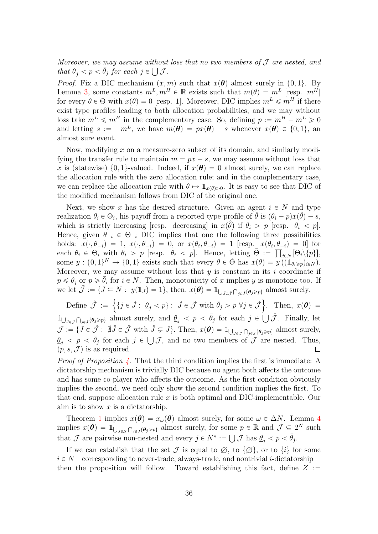Moreover, we may assume without loss that no two members of  $\mathcal J$  are nested, and that  $\underline{\theta}_j < p < \overline{\theta}_j$  for each  $j \in \bigcup \mathcal{J}$ .

*Proof.* Fix a DIC mechanism  $(x, m)$  such that  $x(\theta)$  almost surely in  $\{0, 1\}$ . By Lemma [3,](#page-34-0) some constants  $m^L, m^H \in \mathbb{R}$  exists such that  $m(\theta) = m^L$  [resp.  $m^H$ ] for every  $\theta \in \Theta$  with  $x(\theta) = 0$  [resp. 1]. Moreover, DIC implies  $m^L \leq m^H$  if there exist type profiles leading to both allocation probabilities; and we may without loss take  $m^L \leq m^H$  in the complementary case. So, defining  $p := m^H - m^L \geq 0$ and letting  $s := -m^L$ , we have  $m(\theta) = px(\theta) - s$  whenever  $x(\theta) \in \{0, 1\}$ , and almost sure event.

Now, modifying x on a measure-zero subset of its domain, and similarly modifying the transfer rule to maintain  $m = px - s$ , we may assume without loss that x is (statewise)  $\{0, 1\}$ -valued. Indeed, if  $x(\theta) = 0$  almost surely, we can replace the allocation rule with the zero allocation rule; and in the complementary case, we can replace the allocation rule with  $\theta \mapsto \mathbb{1}_{x(\theta)>0}$ . It is easy to see that DIC of the modified mechanism follows from DIC of the original one.

Next, we show x has the desired structure. Given an agent  $i \in N$  and type realization  $\theta_i \in \Theta_i$ , his payoff from a reported type profile of  $\hat{\theta}$  is  $(\theta_i - p)x(\hat{\theta}) - s$ , which is strictly increasing [resp. decreasing] in  $x(\hat{\theta})$  if  $\theta_i > p$  [resp.  $\theta_i < p$ ]. Hence, given  $\theta_{-i} \in \Theta_{-i}$  DIC implies that one the following three possibilities holds:  $x(\cdot, \theta_{-i}) = 1$ ,  $x(\cdot, \theta_{-i}) = 0$ , or  $x(\theta_i, \theta_{-i}) = 1$  [resp.  $x(\theta_i, \theta_{-i}) = 0$ ] for each  $\theta_i \in \Theta_i$  with  $\theta_i > p$  [resp.  $\theta_i < p$ ]. Hence, letting  $\tilde{\Theta} := \prod_{i \in N} [\Theta_i \setminus \{p\}],$ some  $y: \{0,1\}^N \to \{0,1\}$  exists such that every  $\theta \in \tilde{\Theta}$  has  $x(\theta) = y((\mathbb{1}_{\theta_i \geq p})_{i \in N})$ . Moreover, we may assume without loss that  $y$  is constant in its  $i$  coordinate if  $p \leq \underline{\theta}_i$  or  $p \geq \overline{\theta}_i$  for  $i \in N$ . Then, monotonicity of x implies y is monotone too. If we let  $\tilde{\mathcal{J}} := \{ J \subseteq N : y(1_J) = 1 \}$ , then,  $x(\theta) = 1_{\cup}$  $\tilde{J}\in\tilde{\mathcal{J}}$  $\mathbb{E}[N: y(\mathbb{1}_J) = 1], \text{ then, } x(\boldsymbol{\theta}) = \mathbb{1}_{\bigcup_{\tilde{J} \in \tilde{J}} \bigcap_{j \in \tilde{J}} \{\boldsymbol{\theta}_j \geqslant p\}} \text{ almost surely.}$ 

Define  $\hat{\mathcal{J}} := \left\{ \{j \in \tilde{J} : \underline{\theta}_j < p\} : \tilde{J} \in \tilde{\mathcal{J}} \text{ with } \bar{\theta}_j > p \; \forall j \in \tilde{\mathcal{J}} \right\}$ . Then,  $x(\theta) =$  $\bigcap_{j\in\hat{\jmath}}\{g_j\geqslant p\}$  almost surely, and  $\underline{\theta}_j < p < \overline{\theta}_j$  for each  $j \in \bigcup \hat{\mathcal{J}}$ . Finally, let  $1<sub>1</sub>$  $\hat{J} \in \hat{\mathcal{J}}$  $\mathcal{J} := \{ J \in \hat{\mathcal{J}} : \nexists \hat{J} \in \hat{\mathcal{J}} \text{ with } \hat{J} \subsetneq J \}. \text{ Then, } x(\theta) = \mathbb{1}_{\cup}$ ş  $j \subsetneq J$ . Then,  $x(\theta) = \mathbb{1}_{\bigcup_{J \in \mathcal{J}} \bigcap_{j \in J} \{\theta_j \geq p\}}$  almost surely,  $J\in\mathcal{J}$  $\underline{\theta}_j$  <  $p$  <  $\overline{\theta}_j$  for each  $j \in \bigcup \mathcal{J}$ , and no two members of  $\mathcal J$  are nested. Thus,  $(p, s, \mathcal{J})$  is as required.  $\Box$ 

*Proof of Proposition [4.](#page-17-0)* That the third condition implies the first is immediate: A dictatorship mechanism is trivially DIC because no agent both affects the outcome and has some co-player who affects the outcome. As the first condition obviously implies the second, we need only show the second condition implies the first. To that end, suppose allocation rule  $x$  is both optimal and DIC-implementable. Our aim is to show  $x$  is a dictatorship.

Theorem [1](#page-8-0) implies  $x(\theta) = x_{\omega}(\theta)$  almost surely, for some  $\omega \in \Delta N$ . Lemma [4](#page-34-1) implies  $x(\theta) = 1$ <sup>i</sup>  $J\in\mathcal{J}$ ş  $\{g_{j\in J}\{\theta_j>p\}}$  almost surely, for some  $p \in \mathbb{R}$  and  $\mathcal{J} \subseteq 2^N$  such that  $\mathcal J$  are pairwise non-nested and every  $j \in N^* := \bigcup \mathcal J$  has  $\underline{\theta}_j < p < \overline{\theta}_j$ .

If we can establish that the set  $\mathcal I$  is equal to  $\emptyset$ , to  $\{\emptyset\}$ , or to  $\{i\}$  for some  $i \in N$ —corresponding to never-trade, always-trade, and nontrivial *i*-dictatorship then the proposition will follow. Toward establishing this fact, define  $Z :=$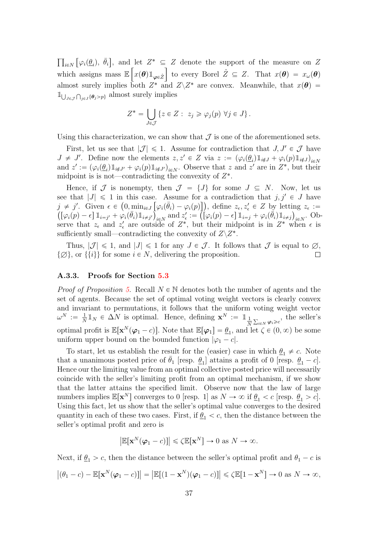$i\in\mathbb{N}$ "<br>"  $\varphi_i(\underline{\theta}_i), \ \bar{\theta}_i$ ‰ , and let  $Z^* \subseteq Z$  denote the support of the measure on Z which assigns mass  $\mathbb{E}\left[x(\theta)\mathbb{1}_{\varphi\in\hat{Z}}\right]$  to every Borel  $\hat{Z}\subseteq Z$ . That  $x(\theta)=x_{\omega}(\theta)$ almost surely implies both  $Z^*$  and  $Z\backslash Z^*$  are convex. Meanwhile, that  $x(\theta)$  =  $1<sub>1</sub>$  $J\epsilon\mathcal{J}$  $\overline{a}$  $_{j\in J}\{\theta_j > p\}$  almost surely implies

$$
Z^* = \bigcup_{J \in \mathcal{J}} \{ z \in Z : z_j \geq \varphi_j(p) \; \forall j \in J \}.
$$

Using this characterization, we can show that  $\mathcal I$  is one of the aforementioned sets.

First, let us see that  $|\mathcal{J}| \leq 1$ . Assume for contradiction that  $J, J' \in \mathcal{J}$  have  $J \neq J'$ . Define now the elements  $z, z' \in Z$  via  $z := (\varphi_i(\underline{\theta}_i) 1_{i \notin J} + \varphi_i(p) 1_{i \notin J})_{i \in N}$ and  $z' := (\varphi_i(\underline{\theta}_i) 1_{i \notin J'} + \varphi_i(p) 1_{i \notin J'})_{i \in N}$ . Observe that z and z' are in  $Z^*$ , but their midpoint is is not—contradicting the convexity of  $Z^*$ .

Hence, if J is nonempty, then  $J = \{J\}$  for some  $J \subseteq N$ . Now, let us see that  $|J| \leq 1$  in this case. Assume for a contradiction that  $j, j' \in J$  have  $j \neq j'$ . Given  $\epsilon \in (0, \min_{i \in J} [\varphi_i(\bar{\theta}_i) - \varphi_i(p)]$ , define  $z_{\epsilon}, z'_{\epsilon} \in Z$  by letting  $z_{\epsilon} :=$  $[\varphi_i(p) - \epsilon] \mathbbm{1}_{i=j'} + \varphi_i(\bar{\theta}_i) \mathbbm{1}_{i \neq j'}\Big|_{i \in N}$  and  $z'_\epsilon := \left(\left[\varphi_i(p) - \epsilon\right] \mathbbm{1}_{i=j} + \varphi_i(\bar{\theta}_i) \mathbbm{1}_{i \neq j}\right)_{i \in N}$ . Observe that  $z_{\epsilon}$  and  $z'_{\epsilon}$  are outside of  $Z^*$ , but their midpoint is in  $Z^*$  when  $\epsilon$  is sufficiently small—contradicting the convexity of  $Z\backslash Z^*$ .

Thus,  $|\mathcal{J}| \leq 1$ , and  $|J| \leq 1$  for any  $J \in \mathcal{J}$ . It follows that  $\mathcal{J}$  is equal to  $\emptyset$ ,  $\{\emptyset\}$ , or  $\{\{i\}\}\$ for some  $i \in N$ , delivering the proposition.  $\Box$ 

#### A.3.3. Proofs for Section [5.3](#page-18-0)

*Proof of Proposition [5.](#page-19-0)* Recall  $N \in \mathbb{N}$  denotes both the number of agents and the set of agents. Because the set of optimal voting weight vectors is clearly convex and invariant to permutations, it follows that the uniform voting weight vector  $\omega^N \; := \; \frac{1}{N}$  $\frac{1}{N} \mathbb{1}_N \in \Delta N$  is optimal. Hence, defining  $\mathbf{x}^N := \mathbb{1}_{\frac{1}{N}}$  $\sum_{i\in N}\varphi_i\geqslant c$ , the seller's optimal profit is  $\mathbb{E}[\mathbf{x}^{N}(\boldsymbol{\varphi}_1 - c)]$ . Note that  $\mathbb{E}[\boldsymbol{\varphi}_1] = \underline{\theta}_1$ , and let  $\zeta \in (0, \infty)$  be some uniform upper bound on the bounded function  $|\varphi_1 - c|$ .

To start, let us establish the result for the (easier) case in which  $\theta_1 \neq c$ . Note that a unanimous posted price of  $\bar{\theta}_1$  [resp.  $\underline{\theta}_1$ ] attains a profit of 0 [resp.  $\underline{\theta}_1 - c$ ]. Hence our the limiting value from an optimal collective posted price will necessarily coincide with the seller's limiting profit from an optimal mechanism, if we show that the latter attains the specified limit. Observe now that the law of large numbers implies  $\mathbb{E}[\mathbf{x}^N]$  converges to 0 [resp. 1] as  $N \to \infty$  if  $\underline{\theta}_1 < c$  [resp.  $\underline{\theta}_1 > c$ ]. Using this fact, let us show that the seller's optimal value converges to the desired quantity in each of these two cases. First, if  $\theta_1 < c$ , then the distance between the seller's optimal profit and zero is

$$
\left|\mathbb{E}[\mathbf{x}^N(\boldsymbol{\varphi}_1-c)]\right| \leq \zeta \mathbb{E}[\mathbf{x}^N] \to 0 \text{ as } N \to \infty.
$$

Next, if  $\theta_1 > c$ , then the distance between the seller's optimal profit and  $\theta_1 - c$  is

$$
|(\theta_1 - c) - \mathbb{E}[\mathbf{x}^N(\boldsymbol{\varphi}_1 - c)]| = |\mathbb{E}[(1 - \mathbf{x}^N)(\boldsymbol{\varphi}_1 - c)]| \le \zeta \mathbb{E}[1 - \mathbf{x}^N] \to 0 \text{ as } N \to \infty,
$$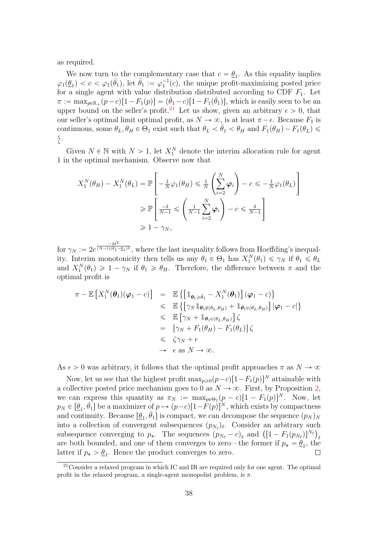as required.

We now turn to the complementary case that  $c = \underline{\theta}_1$ . As this equality implies  $\varphi_1(\underline{\theta}_1) < c < \varphi_1(\overline{\theta}_1)$ , let  $\hat{\theta}_1 := \varphi_1^{-1}(c)$ , the unique profit-maximizing posted price for a single agent with value distribution distributed according to CDF  $F_1$ . Let  $\pi := \max_{p \in \mathbb{R}_+} (p-c)[1 - F_1(p)] = (\hat{\theta}_1 - c)[1 - F_1(\hat{\theta}_1)],$  which is easily seen to be an upper bound on the seller's profit.<sup>[21](#page-0-0)</sup> Let us show, given an arbitrary  $\epsilon > 0$ , that our seller's optimal limit optimal profit, as  $N \to \infty$ , is at least  $\pi - \epsilon$ . Because  $F_1$  is continuous, some  $\theta_L, \theta_H \in \Theta_1$  exist such that  $\theta_L < \hat{\theta}_1 < \theta_H$  and  $F_1(\theta_H) - F_1(\theta_L) \le$  $\epsilon$  $\frac{\epsilon}{\zeta}$ .

Given  $N \in \mathbb{N}$  with  $N > 1$ , let  $X_1^N$  denote the interim allocation rule for agent 1 in the optimal mechanism. Observe now that

$$
X_1^N(\theta_H) - X_1^N(\theta_L) = \mathbb{P}\left[-\frac{1}{N}\varphi_1(\theta_H) \le \frac{1}{N}\left(\sum_{i=2}^N \varphi_i\right) - c \le -\frac{1}{N}\varphi_1(\theta_L)\right]
$$
  
\n
$$
\ge \mathbb{P}\left[\frac{-\delta}{N-1} \le \left(\frac{1}{N-1}\sum_{i=2}^N \varphi_i\right) - c \le \frac{\delta}{N-1}\right]
$$
  
\n
$$
\ge 1 - \gamma_N,
$$

for  $\gamma_N := 2e^{\frac{-2\delta^2}{(N-1)(\bar{\theta}_1 - \epsilon)}}$  $\sqrt{(N-1)(\bar{\theta}_1-\bar{\theta}_1)^2}$ , where the last inequality follows from Hoeffding's inequality. Interim monotonicity then tells us any  $\theta_1 \in \Theta_1$  has  $X_1^N(\theta_1) \leq \gamma_N$  if  $\theta_1 \leq \theta_L$ and  $X_1^N(\theta_1) \geq 1 - \gamma_N$  if  $\theta_1 \geq \theta_H$ . Therefore, the difference between  $\pi$  and the optimal profit is

$$
\pi - \mathbb{E}\left[X_1^N(\boldsymbol{\theta}_1)(\varphi_1 - c)\right] = \mathbb{E}\left\{\left[\mathbb{1}_{\boldsymbol{\theta}_1 \geq \hat{\theta}_1} - X_1^N(\boldsymbol{\theta}_1)\right](\varphi_1 - c)\right\}
$$
  
\n
$$
\leq \mathbb{E}\left\{\left[\gamma_N \mathbb{1}_{\boldsymbol{\theta}_1 \notin (\theta_L, \theta_H)} + \mathbb{1}_{\boldsymbol{\theta}_1 \in (\theta_L, \theta_H)}\right] | \varphi_1 - c|\right\}
$$
  
\n
$$
\leq \mathbb{E}\left[\gamma_N + \mathbb{1}_{\boldsymbol{\theta}_1 \in (\theta_L, \theta_H)}\right] \zeta
$$
  
\n
$$
= \left[\gamma_N + F_1(\theta_H) - F_1(\theta_L)\right] \zeta
$$
  
\n
$$
\leq \zeta \gamma_N + \epsilon
$$
  
\n
$$
\to \epsilon \text{ as } N \to \infty.
$$

As  $\epsilon > 0$  was arbitrary, it follows that the optimal profit approaches  $\pi$  as  $N \to \infty$ 

Now, let us see that the highest profit  $\max_{p\geq 0}(p-c)[1-F_1(p)]^N$  attainable with a collective posted price mechanism goes to 0 as  $N \to \infty$ . First, by Proposition [2,](#page-15-0) we can express this quantity as  $\pi_N := \max_{p \in \Theta_1} (p - c) [1 - F_1(p)]^N$ . Now, let  $p_N \in [\underline{\theta}_1, \overline{\theta}_1]$  be a maximizer of  $p \mapsto (p-c)[1-F(p)]^N$ , which exists by compactness and continuity. Because  $[\underline{\theta}_1, \overline{\theta}_1]$  is compact, we can decompose the sequence  $(p_N)_N$ into a collection of convergent subsequences  $(p_{N_{\ell}})_{\ell}$ . Consider an arbitrary such into a collection of convergent subsequences  $(p_{N_{\ell}})_{\ell}$ . Consider an arbitrary such subsequence converging to  $p_*$ . The sequences  $(p_{N_{\ell}} - c)_{\ell}$  and  $([1 - F_1(p_{N_{\ell}})]^{N_{\ell}})_{\ell}$ are both bounded, and one of them converges to zero—the former if  $p_* = \underline{\theta}_1$ , the latter if  $p_* > \underline{\theta}_1$ . Hence the product converges to zero.  $\Box$ 

 $21$ Consider a relaxed program in which IC and IR are required only for one agent. The optimal profit in the relaxed program, a single-agent monopolist problem, is  $\pi$ .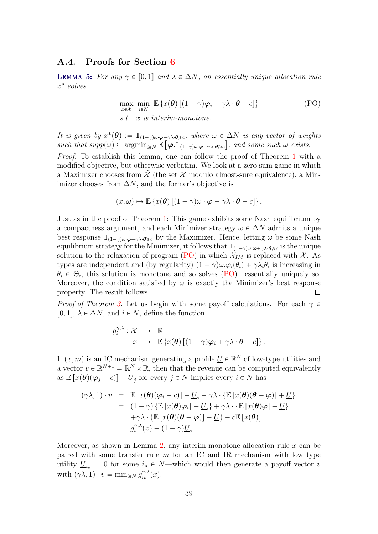#### A.4. Proofs for Section [6](#page-20-0)

<span id="page-38-1"></span>**LEMMA 5:** For any  $\gamma \in [0, 1]$  and  $\lambda \in \Delta N$ , an essentially unique allocation rule x ˚ solves

<span id="page-38-0"></span>
$$
\max_{x \in \mathcal{X}} \min_{i \in \mathcal{N}} \mathbb{E} \left\{ x(\boldsymbol{\theta}) \left[ (1 - \gamma) \boldsymbol{\varphi}_i + \gamma \lambda \cdot \boldsymbol{\theta} - c \right] \right\}
$$
 (PO)  
s.t. *x* is interim-monotone.

It is given by  $x^*(\theta) := 1_{(1-\gamma)\omega \cdot \varphi + \gamma\lambda \cdot \theta \geq c}$ , where  $\omega \in \Delta N$  is any vector of weights such that  $supp(\omega) \subseteq \operatorname{argmin}_{i \in N} \mathbb{E} \left[ \varphi_i \mathbb{1}_{(1-\gamma)\omega \cdot \varphi + \gamma \lambda \cdot \theta \geq c} \right]$ , and some such  $\omega$  exists.

Proof. To establish this lemma, one can follow the proof of Theorem [1](#page-8-0) with a modified objective, but otherwise verbatim. We look at a zero-sum game in which a Maximizer chooses from  $\mathcal X$  (the set  $\mathcal X$  modulo almost-sure equivalence), a Minimizer chooses from  $\Delta N$ , and the former's objective is

$$
(x,\omega) \mapsto \mathbb{E}\left\{x(\boldsymbol{\theta})\left[(1-\gamma)\omega\cdot\boldsymbol{\varphi}+\gamma\lambda\cdot\boldsymbol{\theta}-c\right]\right\}.
$$

Just as in the proof of Theorem [1:](#page-8-0) This game exhibits some Nash equilibrium by a compactness argument, and each Minimizer strategy  $\omega \in \Delta N$  admits a unique best response  $\mathbb{1}_{(1-\gamma)\omega \cdot \varphi + \gamma\lambda \cdot \theta \geq c}$  by the Maximizer. Hence, letting  $\omega$  be some Nash equilibrium strategy for the Minimizer, it follows that  $1\!\!1_{(1-\gamma)\omega\cdot\varphi+\gamma\lambda\cdot\theta\geq c}$  is the unique solution to the relaxation of program [\(PO\)](#page-38-0) in which  $\mathcal{X}_{IM}$  is replaced with  $\mathcal{X}$ . As types are independent and (by regularity)  $(1 - \gamma)\omega_i\varphi_i(\theta_i) + \gamma\lambda_i\theta_i$  is increasing in  $\theta_i \in \Theta_i$ , this solution is monotone and so solves [\(PO\)](#page-38-0)—essentially uniquely so. Moreover, the condition satisfied by  $\omega$  is exactly the Minimizer's best response property. The result follows.  $\Box$ 

*Proof of Theorem [3.](#page-20-1)* Let us begin with some payoff calculations. For each  $\gamma \in$ [0, 1],  $\lambda \in \Delta N$ , and  $i \in N$ , define the function

$$
g_i^{\gamma,\lambda} : \mathcal{X} \longrightarrow \mathbb{R}
$$
  

$$
x \mapsto \mathbb{E} \{x(\theta) \left[ (1-\gamma)\varphi_i + \gamma \lambda \cdot \theta - c \right] \}.
$$

If  $(x, m)$  is an IC mechanism generating a profile  $\underline{U} \in \mathbb{R}^N$  of low-type utilities and a vector  $v \in \mathbb{R}^{N+1} = \mathbb{R}^N \times \mathbb{R}$ , then that the revenue can be computed equivalently as  $\mathbb{E}\left[x(\theta)(\varphi_j-c)\right]-\underline{U}_j$  for every  $j \in N$  implies every  $i \in N$  has

$$
(\gamma \lambda, 1) \cdot v = \mathbb{E} [x(\theta)(\varphi_i - c)] - \underline{U}_i + \gamma \lambda \cdot \{\mathbb{E} [x(\theta)(\theta - \varphi)] + \underline{U}\}
$$
  
\n
$$
= (1 - \gamma) \{\mathbb{E} [x(\theta)\varphi_i] - \underline{U}_i\} + \gamma \lambda \cdot \{\mathbb{E} [x(\theta)\varphi] - \underline{U}\}
$$
  
\n
$$
+ \gamma \lambda \cdot \{\mathbb{E} [x(\theta)(\theta - \varphi)] + \underline{U}\} - c\mathbb{E} [x(\theta)]
$$
  
\n
$$
= g_i^{\gamma, \lambda}(x) - (1 - \gamma)\underline{U}_i.
$$

Moreover, as shown in Lemma [2,](#page-7-0) any interim-monotone allocation rule  $x$  can be paired with some transfer rule  $m$  for an IC and IR mechanism with low type utility  $\underline{U}_{i*} = 0$  for some  $i_* \in N$ —which would then generate a payoff vector v with  $(\gamma \lambda, 1) \cdot v = \min_{i \in N} g_{i*}^{\gamma, \lambda}$  $\gamma,\lambda\atop i_*(x).$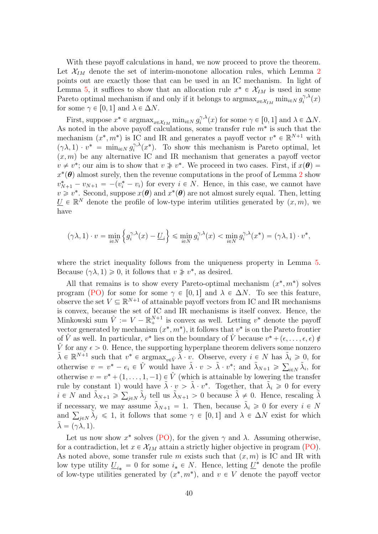With these payoff calculations in hand, we now proceed to prove the theorem. Let  $\mathcal{X}_{IM}$  denote the set of interim-monotone allocation rules, which Lemma [2](#page-7-0) points out are exactly those that can be used in an IC mechanism. In light of Lemma [5,](#page-38-1) it suffices to show that an allocation rule  $x^* \in \mathcal{X}_{IM}$  is used in some Pareto optimal mechanism if and only if it belongs to  $\arg\max_{x \in \mathcal{X}_{IM}} \min_{i \in N} g_i^{\gamma, \lambda}$  $\hat{q}^{\gamma,\lambda}(x)$ for some  $\gamma \in [0, 1]$  and  $\lambda \in \Delta N$ .

First, suppose  $x^* \in \operatorname{argmax}_{x \in \mathcal{X}_{IM}} \min_{i \in N} g_i^{\gamma, \lambda}$  $\hat{\gamma}^{\gamma,\lambda}(x)$  for some  $\gamma \in [0,1]$  and  $\lambda \in \Delta N$ . As noted in the above payoff calculations, some transfer rule  $m^*$  is such that the mechanism  $(x^*, m^*)$  is IC and IR and generates a payoff vector  $v^* \in \mathbb{R}^{N+1}$  with  $(\gamma \lambda, 1) \cdot v^* = \min_{i \in N} g_i^{\gamma, \lambda}$  $\hat{i}^{\gamma,\lambda}(x^*)$ . To show this mechanism is Pareto optimal, let  $(x, m)$  be any alternative IC and IR mechanism that generates a payoff vector  $v \neq v^*$ ; our aim is to show that  $v \geq v^*$ . We proceed in two cases. First, if  $x(\theta) =$  $x^*(\theta)$  almost surely, then the revenue computations in the proof of Lemma [2](#page-7-0) show  $v_{N+1}^* - v_{N+1} = -(v_i^* - v_i)$  for every  $i \in N$ . Hence, in this case, we cannot have  $v \geq v^*$ . Second, suppose  $x(\theta)$  and  $x^*(\theta)$  are not almost surely equal. Then, letting  $\underline{U} \in \mathbb{R}^N$  denote the profile of low-type interim utilities generated by  $(x, m)$ , we have

$$
(\gamma \lambda, 1) \cdot v = \min_{i \in N} \left\{ g_i^{\gamma, \lambda}(x) - \underline{U}_i \right\} \le \min_{i \in N} g_i^{\gamma, \lambda}(x) < \min_{i \in N} g_i^{\gamma, \lambda}(x^*) = (\gamma \lambda, 1) \cdot v^*,
$$

where the strict inequality follows from the uniqueness property in Lemma [5.](#page-38-1) Because  $(\gamma \lambda, 1) \geq 0$ , it follows that  $v \not\geq v^*$ , as desired.

All that remains is to show every Pareto-optimal mechanism  $(x^*, m^*)$  solves program [\(PO\)](#page-38-0) for some for some  $\gamma \in [0, 1]$  and  $\lambda \in \Delta N$ . To see this feature, observe the set  $V \subseteq \mathbb{R}^{N+1}$  of attainable payoff vectors from IC and IR mechanisms is convex, because the set of IC and IR mechanisms is itself convex. Hence, the Minkowski sum  $\hat{V} := V - \mathbb{R}^{N+1}_+$  is convex as well. Letting  $v^*$  denote the payoff vector generated by mechanism  $(x^*, m^*)$ , it follows that  $v^*$  is on the Pareto frontier of  $\hat{V}$  as well. In particular,  $v^*$  lies on the boundary of  $\hat{V}$  because  $v^* + (\epsilon, \ldots, \epsilon, \epsilon) \notin$  $\hat{V}$  for any  $\epsilon > 0$ . Hence, the supporting hyperplane theorem delivers some nonzero  $\tilde{\lambda} \in \mathbb{R}^{N+1}$  such that  $v^* \in \operatorname{argmax}_{v \in \hat{V}} \tilde{\lambda} \cdot v$ . Observe, every  $i \in N$  has  $\tilde{\lambda}_i \geq 0$ , for otherwise  $v = v^* - e_i \in \hat{V}$  would have  $\tilde{\lambda} \cdot v > \tilde{\lambda} \cdot v^*$ ; and  $\tilde{\lambda}_{N+1} \geq \sum_{i \in N} \tilde{\lambda}_i$ , for otherwise  $v = v^* + (1, \ldots, 1, -1) \in \hat{V}$  (which is attainable by lowering the transfer rule by constant 1) would have  $\tilde{\lambda} \cdot v > \tilde{\lambda} \cdot v^*$ . Together, that  $\tilde{\lambda}_i \geq 0$  for every  $i \in N$  and  $\tilde{\lambda}_{N+1} \geq \sum_{j \in N} \tilde{\lambda}_j$  tell us  $\tilde{\lambda}_{N+1} > 0$  because  $\tilde{\lambda} \neq 0$ . Hence, rescaling  $\tilde{\lambda}$ if necessary, we may assume  $\tilde{\lambda}_{N+1} = 1$ . Then, because  $\tilde{\lambda}_i \geq 0$  for every  $i \in N$ if necessary, we may assume  $\lambda_{N+1} = 1$ . Then, because  $\lambda_i \geq 0$  for every  $i \in N$ <br>and  $\sum_{j \in N} \tilde{\lambda}_j \leq 1$ , it follows that some  $\gamma \in [0,1]$  and  $\lambda \in \Delta N$  exist for which  $\lambda = (\gamma \lambda, 1).$ 

Let us now show  $x^*$  solves [\(PO\)](#page-38-0), for the given  $\gamma$  and  $\lambda$ . Assuming otherwise, for a contradiction, let  $x \in \mathcal{X}_{IM}$  attain a strictly higher objective in program [\(PO\)](#page-38-0). As noted above, some transfer rule m exists such that  $(x, m)$  is IC and IR with low type utility  $\underline{U}_{i*} = 0$  for some  $i_* \in N$ . Hence, letting  $\underline{U}^*$  denote the profile of low-type utilities generated by  $(x^*, m^*)$ , and  $v \in V$  denote the payoff vector